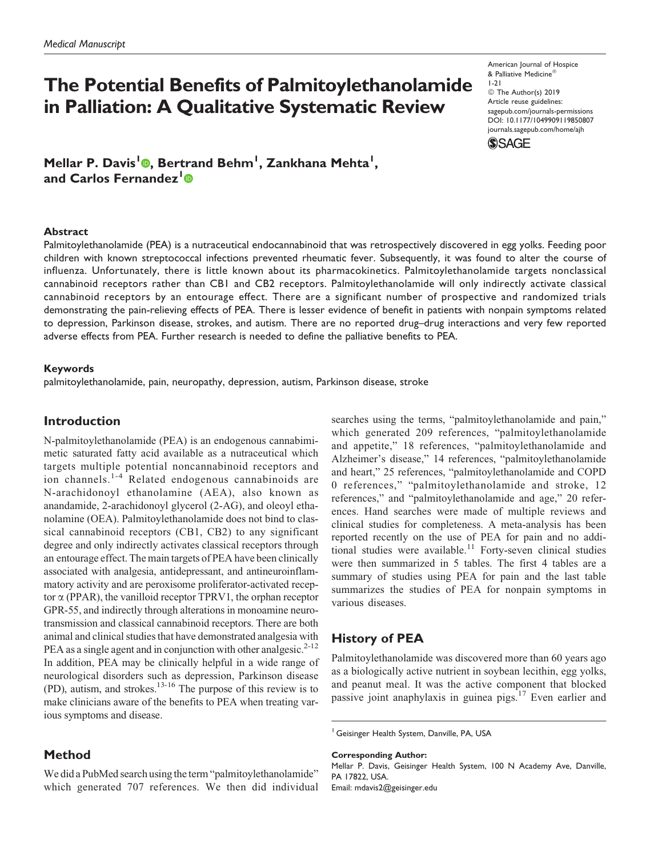# The Potential Benefits of Palmitoylethanolamide in Palliation: A Qualitative Systematic Review

Mellar P. Davis<sup>l</sup>©, Bertrand Behm<sup>1</sup>, Zankhana Mehta<sup>1</sup>, and Carlos Fernandez<sup>1</sup>®

American Journal of Hospice & Palliative Medicine® 1-21

© The Author(s) 2019 Article reuse guidelines: [sagepub.com/journals-permissions](https://sagepub.com/journals-permissions) [DOI: 10.1177/1049909119850807](https://doi.org/10.1177/1049909119850807) [journals.sagepub.com/home/ajh](http://journals.sagepub.com/home/ajh)



#### Abstract

Palmitoylethanolamide (PEA) is a nutraceutical endocannabinoid that was retrospectively discovered in egg yolks. Feeding poor children with known streptococcal infections prevented rheumatic fever. Subsequently, it was found to alter the course of influenza. Unfortunately, there is little known about its pharmacokinetics. Palmitoylethanolamide targets nonclassical cannabinoid receptors rather than CB1 and CB2 receptors. Palmitoylethanolamide will only indirectly activate classical cannabinoid receptors by an entourage effect. There are a significant number of prospective and randomized trials demonstrating the pain-relieving effects of PEA. There is lesser evidence of benefit in patients with nonpain symptoms related to depression, Parkinson disease, strokes, and autism. There are no reported drug–drug interactions and very few reported adverse effects from PEA. Further research is needed to define the palliative benefits to PEA.

#### Keywords

palmitoylethanolamide, pain, neuropathy, depression, autism, Parkinson disease, stroke

#### Introduction

N-palmitoylethanolamide (PEA) is an endogenous cannabimimetic saturated fatty acid available as a nutraceutical which targets multiple potential noncannabinoid receptors and ion channels.1-4 Related endogenous cannabinoids are N-arachidonoyl ethanolamine (AEA), also known as anandamide, 2-arachidonoyl glycerol (2-AG), and oleoyl ethanolamine (OEA). Palmitoylethanolamide does not bind to classical cannabinoid receptors (CB1, CB2) to any significant degree and only indirectly activates classical receptors through an entourage effect. The main targets of PEA have been clinically associated with analgesia, antidepressant, and antineuroinflammatory activity and are peroxisome proliferator-activated receptor  $\alpha$  (PPAR), the vanilloid receptor TPRV1, the orphan receptor GPR-55, and indirectly through alterations in monoamine neurotransmission and classical cannabinoid receptors. There are both animal and clinical studies that have demonstrated analgesia with PEA as a single agent and in conjunction with other analgesic.<sup>2-12</sup> In addition, PEA may be clinically helpful in a wide range of neurological disorders such as depression, Parkinson disease (PD), autism, and strokes.13-16 The purpose of this review is to make clinicians aware of the benefits to PEA when treating various symptoms and disease.

### Method

We did a PubMed search using the term "palmitoylethanolamide" which generated 707 references. We then did individual searches using the terms, "palmitoylethanolamide and pain," which generated 209 references, "palmitoylethanolamide and appetite," 18 references, "palmitoylethanolamide and Alzheimer's disease," 14 references, "palmitoylethanolamide and heart," 25 references, "palmitoylethanolamide and COPD 0 references," "palmitoylethanolamide and stroke, 12 references," and "palmitoylethanolamide and age," 20 references. Hand searches were made of multiple reviews and clinical studies for completeness. A meta-analysis has been reported recently on the use of PEA for pain and no additional studies were available.<sup>11</sup> Forty-seven clinical studies were then summarized in 5 tables. The first 4 tables are a summary of studies using PEA for pain and the last table summarizes the studies of PEA for nonpain symptoms in various diseases.

# History of PEA

Palmitoylethanolamide was discovered more than 60 years ago as a biologically active nutrient in soybean lecithin, egg yolks, and peanut meal. It was the active component that blocked passive joint anaphylaxis in guinea pigs. $17$  Even earlier and

Corresponding Author:

Mellar P. Davis, Geisinger Health System, 100 N Academy Ave, Danville, PA 17822, USA.

Email: [mdavis2@geisinger.edu](mailto:mdavis2@geisinger.edu)

<sup>&</sup>lt;sup>1</sup> Geisinger Health System, Danville, PA, USA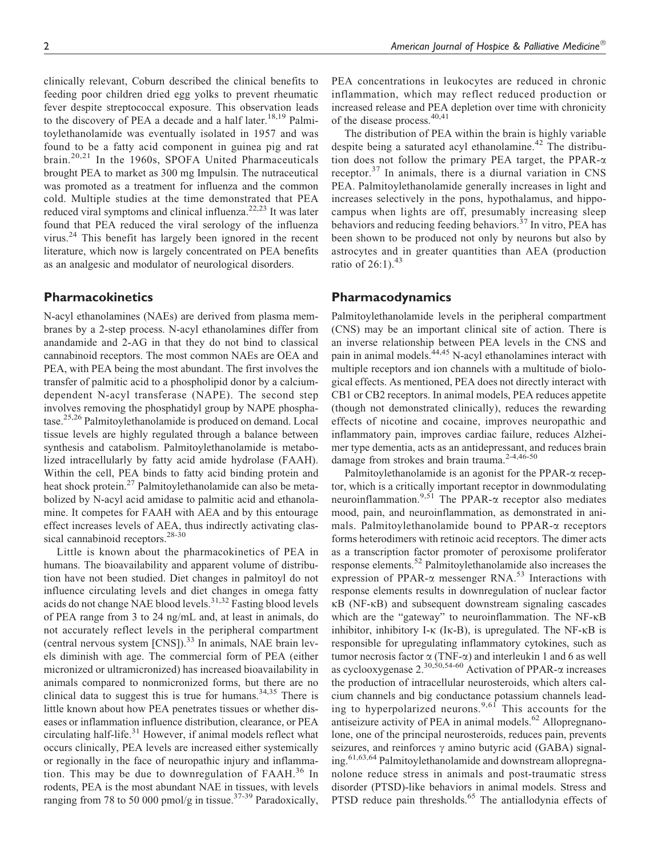clinically relevant, Coburn described the clinical benefits to feeding poor children dried egg yolks to prevent rheumatic fever despite streptococcal exposure. This observation leads to the discovery of PEA a decade and a half later.<sup>18,19</sup> Palmitoylethanolamide was eventually isolated in 1957 and was found to be a fatty acid component in guinea pig and rat brain.20,21 In the 1960s, SPOFA United Pharmaceuticals brought PEA to market as 300 mg Impulsin. The nutraceutical was promoted as a treatment for influenza and the common cold. Multiple studies at the time demonstrated that PEA reduced viral symptoms and clinical influenza.<sup>22,23</sup> It was later found that PEA reduced the viral serology of the influenza virus.<sup>24</sup> This benefit has largely been ignored in the recent literature, which now is largely concentrated on PEA benefits as an analgesic and modulator of neurological disorders.

## Pharmacokinetics

N-acyl ethanolamines (NAEs) are derived from plasma membranes by a 2-step process. N-acyl ethanolamines differ from anandamide and 2-AG in that they do not bind to classical cannabinoid receptors. The most common NAEs are OEA and PEA, with PEA being the most abundant. The first involves the transfer of palmitic acid to a phospholipid donor by a calciumdependent N-acyl transferase (NAPE). The second step involves removing the phosphatidyl group by NAPE phosphatase.<sup>25,26</sup> Palmitoylethanolamide is produced on demand. Local tissue levels are highly regulated through a balance between synthesis and catabolism. Palmitoylethanolamide is metabolized intracellularly by fatty acid amide hydrolase (FAAH). Within the cell, PEA binds to fatty acid binding protein and heat shock protein.<sup>27</sup> Palmitoylethanolamide can also be metabolized by N-acyl acid amidase to palmitic acid and ethanolamine. It competes for FAAH with AEA and by this entourage effect increases levels of AEA, thus indirectly activating classical cannabinoid receptors.<sup>28-30</sup>

Little is known about the pharmacokinetics of PEA in humans. The bioavailability and apparent volume of distribution have not been studied. Diet changes in palmitoyl do not influence circulating levels and diet changes in omega fatty acids do not change NAE blood levels.<sup>31,32</sup> Fasting blood levels of PEA range from 3 to 24 ng/mL and, at least in animals, do not accurately reflect levels in the peripheral compartment (central nervous system  $[CNS]$ ).<sup>33</sup> In animals, NAE brain levels diminish with age. The commercial form of PEA (either micronized or ultramicronized) has increased bioavailability in animals compared to nonmicronized forms, but there are no clinical data to suggest this is true for humans.<sup>34,35</sup> There is little known about how PEA penetrates tissues or whether diseases or inflammation influence distribution, clearance, or PEA circulating half-life.<sup>31</sup> However, if animal models reflect what occurs clinically, PEA levels are increased either systemically or regionally in the face of neuropathic injury and inflammation. This may be due to downregulation of  $FAAH<sup>36</sup>$  In rodents, PEA is the most abundant NAE in tissues, with levels ranging from 78 to 50 000 pmol/g in tissue.<sup>37-39</sup> Paradoxically,

PEA concentrations in leukocytes are reduced in chronic inflammation, which may reflect reduced production or increased release and PEA depletion over time with chronicity of the disease process.<sup>40,41</sup>

The distribution of PEA within the brain is highly variable despite being a saturated acyl ethanolamine.<sup>42</sup> The distribution does not follow the primary PEA target, the PPAR- $\alpha$ receptor.<sup>37</sup> In animals, there is a diurnal variation in CNS PEA. Palmitoylethanolamide generally increases in light and increases selectively in the pons, hypothalamus, and hippocampus when lights are off, presumably increasing sleep behaviors and reducing feeding behaviors.<sup>37</sup> In vitro, PEA has been shown to be produced not only by neurons but also by astrocytes and in greater quantities than AEA (production ratio of  $26:1$ ).<sup>43</sup>

## Pharmacodynamics

Palmitoylethanolamide levels in the peripheral compartment (CNS) may be an important clinical site of action. There is an inverse relationship between PEA levels in the CNS and pain in animal models.<sup>44,45</sup> N-acyl ethanolamines interact with multiple receptors and ion channels with a multitude of biological effects. As mentioned, PEA does not directly interact with CB1 or CB2 receptors. In animal models, PEA reduces appetite (though not demonstrated clinically), reduces the rewarding effects of nicotine and cocaine, improves neuropathic and inflammatory pain, improves cardiac failure, reduces Alzheimer type dementia, acts as an antidepressant, and reduces brain damage from strokes and brain trauma.<sup>2-4,46-50</sup>

Palmitoylethanolamide is an agonist for the PPAR- $\alpha$  receptor, which is a critically important receptor in downmodulating neuroinflammation.<sup>9,51</sup> The PPAR- $\alpha$  receptor also mediates mood, pain, and neuroinflammation, as demonstrated in animals. Palmitoylethanolamide bound to PPAR-a receptors forms heterodimers with retinoic acid receptors. The dimer acts as a transcription factor promoter of peroxisome proliferator response elements.<sup>52</sup> Palmitoylethanolamide also increases the expression of PPAR- $\alpha$  messenger RNA.<sup>53</sup> Interactions with response elements results in downregulation of nuclear factor kB (NF-kB) and subsequent downstream signaling cascades which are the "gateway" to neuroinflammation. The NF- $\kappa$ B inhibitor, inhibitory I- $\kappa$  (I $\kappa$ -B), is upregulated. The NF- $\kappa$ B is responsible for upregulating inflammatory cytokines, such as tumor necrosis factor  $\alpha$  (TNF- $\alpha$ ) and interleukin 1 and 6 as well as cyclooxygenase  $2^{30,50,54-60}$  Activation of PPAR- $\alpha$  increases the production of intracellular neurosteroids, which alters calcium channels and big conductance potassium channels leading to hyperpolarized neurons.<sup>9,61</sup> This accounts for the antiseizure activity of PEA in animal models.<sup>62</sup> Allopregnanolone, one of the principal neurosteroids, reduces pain, prevents seizures, and reinforces  $\gamma$  amino butyric acid (GABA) signaling.<sup>61,63,64</sup> Palmitoylethanolamide and downstream allopregnanolone reduce stress in animals and post-traumatic stress disorder (PTSD)-like behaviors in animal models. Stress and PTSD reduce pain thresholds.<sup>65</sup> The antiallodynia effects of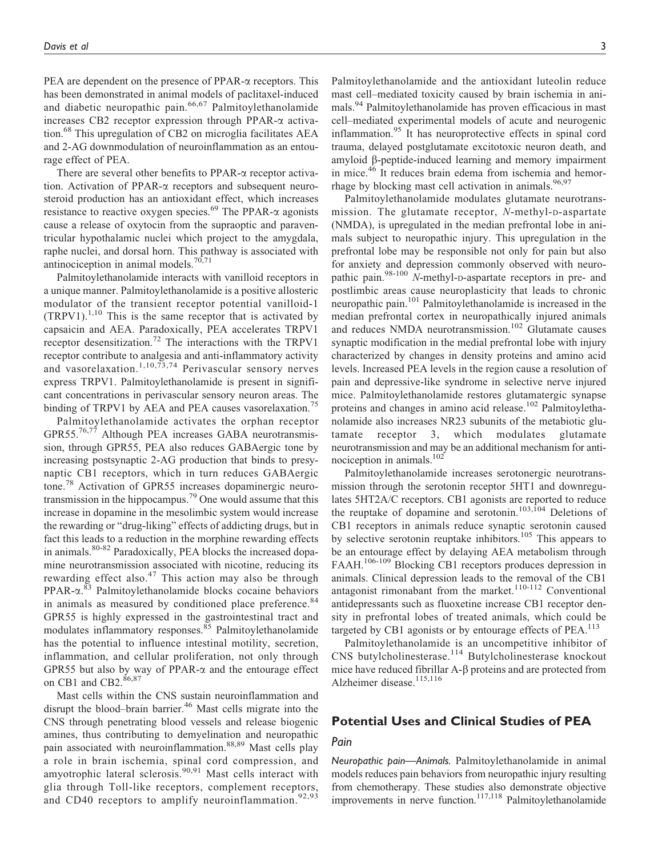PEA are dependent on the presence of PPAR- $\alpha$  receptors. This has been demonstrated in animal models of paclitaxel-induced and diabetic neuropathic pain.<sup>66,67</sup> Palmitoylethanolamide increases CB2 receptor expression through PPAR-a activation.<sup>68</sup> This upregulation of CB2 on microglia facilitates AEA and 2-AG downmodulation of neuroinflammation as an entourage effect of PEA.

There are several other benefits to  $PPAR-\alpha$  receptor activation. Activation of PPAR-a receptors and subsequent neurosteroid production has an antioxidant effect, which increases resistance to reactive oxygen species.<sup>69</sup> The PPAR- $\alpha$  agonists cause a release of oxytocin from the supraoptic and paraventricular hypothalamic nuclei which project to the amygdala, raphe nuclei, and dorsal horn. This pathway is associated with antinociception in animal models. $70,71$ 

Palmitoylethanolamide interacts with vanilloid receptors in a unique manner. Palmitoylethanolamide is a positive allosteric modulator of the transient receptor potential vanilloid-1  $(TRPV1).$ <sup>1,10</sup> This is the same receptor that is activated by capsaicin and AEA. Paradoxically, PEA accelerates TRPV1 receptor desensitization.<sup>72</sup> The interactions with the TRPV1 receptor contribute to analgesia and anti-inflammatory activity and vasorelaxation.<sup>1,10,73,74</sup> Perivascular sensory nerves express TRPV1. Palmitoylethanolamide is present in significant concentrations in perivascular sensory neuron areas. The binding of TRPV1 by AEA and PEA causes vasorelaxation.<sup>75</sup>

Palmitoylethanolamide activates the orphan receptor GPR55.<sup>76,77</sup> Although PEA increases GABA neurotransmission, through GPR55, PEA also reduces GABAergic tone by increasing postsynaptic 2-AG production that binds to presynaptic CB1 receptors, which in turn reduces GABAergic tone.<sup>78</sup> Activation of GPR55 increases dopaminergic neurotransmission in the hippocampus.<sup>79</sup> One would assume that this increase in dopamine in the mesolimbic system would increase the rewarding or "drug-liking" effects of addicting drugs, but in fact this leads to a reduction in the morphine rewarding effects in animals.<sup>80-82</sup> Paradoxically, PEA blocks the increased dopamine neurotransmission associated with nicotine, reducing its rewarding effect also.<sup>47</sup> This action may also be through PPAR- $\alpha$ .<sup>83</sup> Palmitoylethanolamide blocks cocaine behaviors in animals as measured by conditioned place preference.<sup>84</sup> GPR55 is highly expressed in the gastrointestinal tract and modulates inflammatory responses.<sup>85</sup> Palmitoylethanolamide has the potential to influence intestinal motility, secretion, inflammation, and cellular proliferation, not only through GPR55 but also by way of PPAR- $\alpha$  and the entourage effect on CB1 and CB2.<sup>86,87</sup>

Mast cells within the CNS sustain neuroinflammation and disrupt the blood–brain barrier.<sup>46</sup> Mast cells migrate into the CNS through penetrating blood vessels and release biogenic amines, thus contributing to demyelination and neuropathic pain associated with neuroinflammation.<sup>88,89</sup> Mast cells play a role in brain ischemia, spinal cord compression, and amyotrophic lateral sclerosis.<sup>90,91</sup> Mast cells interact with glia through Toll-like receptors, complement receptors, and CD40 receptors to amplify neuroinflammation.<sup>92,93</sup>

Palmitoylethanolamide and the antioxidant luteolin reduce mast cell–mediated toxicity caused by brain ischemia in animals.<sup>94</sup> Palmitoylethanolamide has proven efficacious in mast cell–mediated experimental models of acute and neurogenic inflammation.<sup>95</sup> It has neuroprotective effects in spinal cord trauma, delayed postglutamate excitotoxic neuron death, and amyloid b-peptide-induced learning and memory impairment in mice.<sup>46</sup> It reduces brain edema from ischemia and hemorrhage by blocking mast cell activation in animals. $96,97$ 

Palmitoylethanolamide modulates glutamate neurotransmission. The glutamate receptor, N-methyl-D-aspartate (NMDA), is upregulated in the median prefrontal lobe in animals subject to neuropathic injury. This upregulation in the prefrontal lobe may be responsible not only for pain but also for anxiety and depression commonly observed with neuropathic pain.<sup>98-100</sup> N-methyl-D-aspartate receptors in pre- and postlimbic areas cause neuroplasticity that leads to chronic neuropathic pain.<sup>101</sup> Palmitoylethanolamide is increased in the median prefrontal cortex in neuropathically injured animals and reduces NMDA neurotransmission.<sup>102</sup> Glutamate causes synaptic modification in the medial prefrontal lobe with injury characterized by changes in density proteins and amino acid levels. Increased PEA levels in the region cause a resolution of pain and depressive-like syndrome in selective nerve injured mice. Palmitoylethanolamide restores glutamatergic synapse proteins and changes in amino acid release.<sup>102</sup> Palmitoylethanolamide also increases NR23 subunits of the metabiotic glutamate receptor 3, which modulates glutamate neurotransmission and may be an additional mechanism for antinociception in animals.102

Palmitoylethanolamide increases serotonergic neurotransmission through the serotonin receptor 5HT1 and downregulates 5HT2A/C receptors. CB1 agonists are reported to reduce the reuptake of dopamine and serotonin.<sup>103,104</sup> Deletions of CB1 receptors in animals reduce synaptic serotonin caused by selective serotonin reuptake inhibitors.<sup>105</sup> This appears to be an entourage effect by delaying AEA metabolism through FAAH.<sup>106-109</sup> Blocking CB1 receptors produces depression in animals. Clinical depression leads to the removal of the CB1 antagonist rimonabant from the market.<sup>110-112</sup> Conventional antidepressants such as fluoxetine increase CB1 receptor density in prefrontal lobes of treated animals, which could be targeted by CB1 agonists or by entourage effects of  $PEA$ .<sup>113</sup>

Palmitoylethanolamide is an uncompetitive inhibitor of CNS butylcholinesterase.<sup>114</sup> Butylcholinesterase knockout mice have reduced fibrillar  $A - \beta$  proteins and are protected from Alzheimer disease.<sup>115,116</sup>

# Potential Uses and Clinical Studies of PEA

## Pain

Neuropathic pain—Animals. Palmitoylethanolamide in animal models reduces pain behaviors from neuropathic injury resulting from chemotherapy. These studies also demonstrate objective improvements in nerve function.<sup>117,118</sup> Palmitoylethanolamide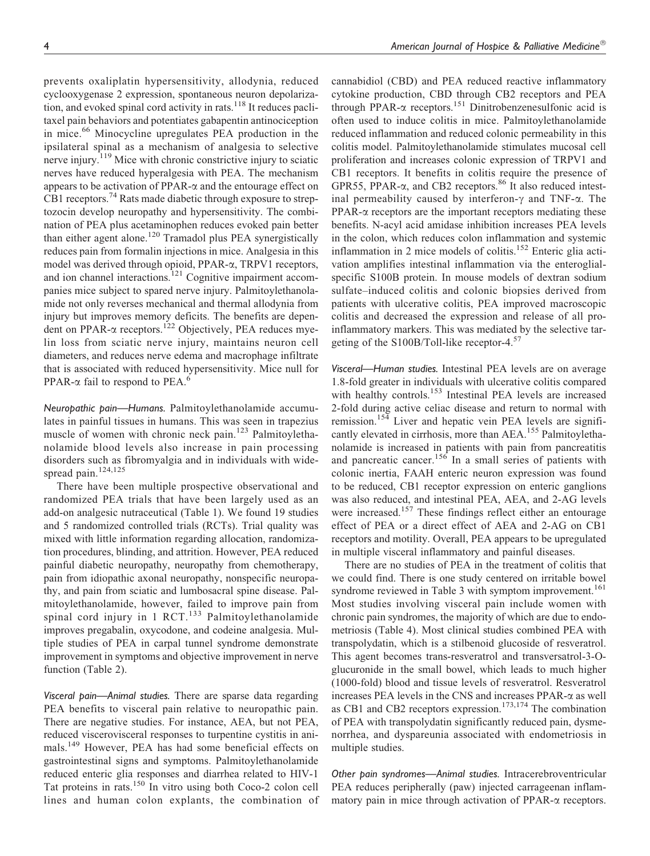prevents oxaliplatin hypersensitivity, allodynia, reduced cyclooxygenase 2 expression, spontaneous neuron depolarization, and evoked spinal cord activity in rats. $118$  It reduces paclitaxel pain behaviors and potentiates gabapentin antinociception in mice.<sup>66</sup> Minocycline upregulates PEA production in the ipsilateral spinal as a mechanism of analgesia to selective nerve injury.<sup>119</sup> Mice with chronic constrictive injury to sciatic nerves have reduced hyperalgesia with PEA. The mechanism appears to be activation of PPAR- $\alpha$  and the entourage effect on CB1 receptors.<sup>74</sup> Rats made diabetic through exposure to streptozocin develop neuropathy and hypersensitivity. The combination of PEA plus acetaminophen reduces evoked pain better than either agent alone.<sup>120</sup> Tramadol plus PEA synergistically reduces pain from formalin injections in mice. Analgesia in this model was derived through opioid, PPAR-a, TRPV1 receptors, and ion channel interactions.<sup>121</sup> Cognitive impairment accompanies mice subject to spared nerve injury. Palmitoylethanolamide not only reverses mechanical and thermal allodynia from injury but improves memory deficits. The benefits are dependent on PPAR- $\alpha$  receptors.<sup>122</sup> Objectively, PEA reduces myelin loss from sciatic nerve injury, maintains neuron cell diameters, and reduces nerve edema and macrophage infiltrate that is associated with reduced hypersensitivity. Mice null for PPAR- $\alpha$  fail to respond to PEA.<sup>6</sup>

Neuropathic pain—Humans. Palmitoylethanolamide accumulates in painful tissues in humans. This was seen in trapezius muscle of women with chronic neck pain.<sup>123</sup> Palmitoylethanolamide blood levels also increase in pain processing disorders such as fibromyalgia and in individuals with widespread pain. $124,125$ 

There have been multiple prospective observational and randomized PEA trials that have been largely used as an add-on analgesic nutraceutical (Table 1). We found 19 studies and 5 randomized controlled trials (RCTs). Trial quality was mixed with little information regarding allocation, randomization procedures, blinding, and attrition. However, PEA reduced painful diabetic neuropathy, neuropathy from chemotherapy, pain from idiopathic axonal neuropathy, nonspecific neuropathy, and pain from sciatic and lumbosacral spine disease. Palmitoylethanolamide, however, failed to improve pain from spinal cord injury in 1 RCT.<sup>133</sup> Palmitoylethanolamide improves pregabalin, oxycodone, and codeine analgesia. Multiple studies of PEA in carpal tunnel syndrome demonstrate improvement in symptoms and objective improvement in nerve function (Table 2).

Visceral pain—Animal studies. There are sparse data regarding PEA benefits to visceral pain relative to neuropathic pain. There are negative studies. For instance, AEA, but not PEA, reduced viscerovisceral responses to turpentine cystitis in animals.<sup>149</sup> However, PEA has had some beneficial effects on gastrointestinal signs and symptoms. Palmitoylethanolamide reduced enteric glia responses and diarrhea related to HIV-1 Tat proteins in rats.<sup>150</sup> In vitro using both Coco-2 colon cell lines and human colon explants, the combination of cannabidiol (CBD) and PEA reduced reactive inflammatory cytokine production, CBD through CB2 receptors and PEA through PPAR- $\alpha$  receptors.<sup>151</sup> Dinitrobenzenesulfonic acid is often used to induce colitis in mice. Palmitoylethanolamide reduced inflammation and reduced colonic permeability in this colitis model. Palmitoylethanolamide stimulates mucosal cell proliferation and increases colonic expression of TRPV1 and CB1 receptors. It benefits in colitis require the presence of GPR55, PPAR- $\alpha$ , and CB2 receptors.<sup>86</sup> It also reduced intestinal permeability caused by interferon- $\gamma$  and TNF- $\alpha$ . The  $PPAR-\alpha$  receptors are the important receptors mediating these benefits. N-acyl acid amidase inhibition increases PEA levels in the colon, which reduces colon inflammation and systemic inflammation in 2 mice models of colitis.<sup>152</sup> Enteric glia activation amplifies intestinal inflammation via the enteroglialspecific S100B protein. In mouse models of dextran sodium sulfate–induced colitis and colonic biopsies derived from patients with ulcerative colitis, PEA improved macroscopic colitis and decreased the expression and release of all proinflammatory markers. This was mediated by the selective targeting of the S100B/Toll-like receptor-4.<sup>57</sup>

Visceral—Human studies. Intestinal PEA levels are on average 1.8-fold greater in individuals with ulcerative colitis compared with healthy controls.<sup>153</sup> Intestinal PEA levels are increased 2-fold during active celiac disease and return to normal with remission.<sup>154</sup> Liver and hepatic vein PEA levels are significantly elevated in cirrhosis, more than AEA.<sup>155</sup> Palmitoylethanolamide is increased in patients with pain from pancreatitis and pancreatic cancer.<sup>156</sup> In a small series of patients with colonic inertia, FAAH enteric neuron expression was found to be reduced, CB1 receptor expression on enteric ganglions was also reduced, and intestinal PEA, AEA, and 2-AG levels were increased.<sup>157</sup> These findings reflect either an entourage effect of PEA or a direct effect of AEA and 2-AG on CB1 receptors and motility. Overall, PEA appears to be upregulated in multiple visceral inflammatory and painful diseases.

There are no studies of PEA in the treatment of colitis that we could find. There is one study centered on irritable bowel syndrome reviewed in Table 3 with symptom improvement.<sup>161</sup> Most studies involving visceral pain include women with chronic pain syndromes, the majority of which are due to endometriosis (Table 4). Most clinical studies combined PEA with transpolydatin, which is a stilbenoid glucoside of resveratrol. This agent becomes trans-resveratrol and transversatrol-3-Oglucuronide in the small bowel, which leads to much higher (1000-fold) blood and tissue levels of resveratrol. Resveratrol increases PEA levels in the CNS and increases PPAR-a as well as CB1 and CB2 receptors expression.<sup>173,174</sup> The combination of PEA with transpolydatin significantly reduced pain, dysmenorrhea, and dyspareunia associated with endometriosis in multiple studies.

Other pain syndromes—Animal studies. Intracerebroventricular PEA reduces peripherally (paw) injected carrageenan inflammatory pain in mice through activation of PPAR- $\alpha$  receptors.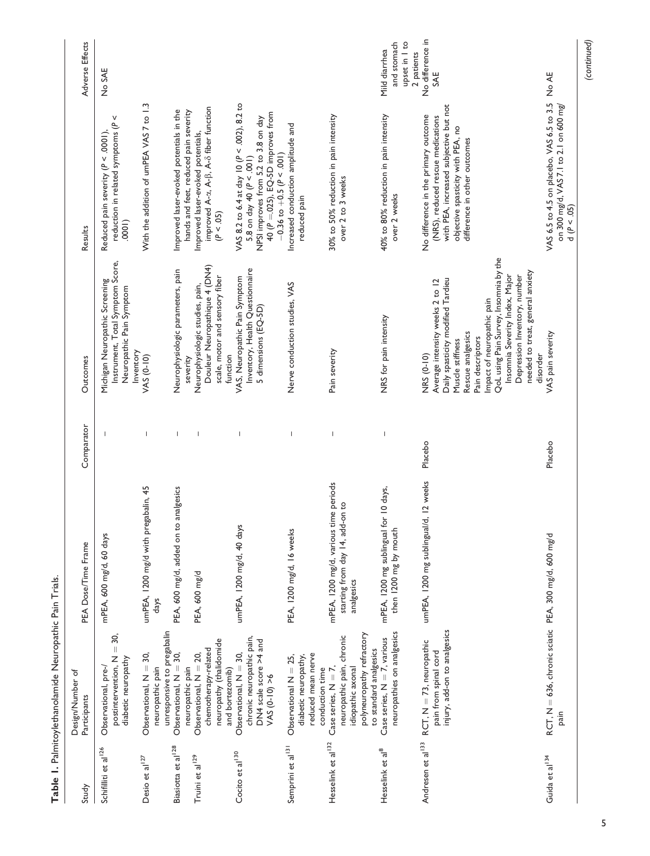| PEA Dose/Time Frame                                                                    |
|----------------------------------------------------------------------------------------|
| mPEA, 600 mg/d, 60 days                                                                |
| umPEA, 1200 mg/d with pregabalin, 45<br>days                                           |
| PEA, 600 mg/d, added on                                                                |
| PEA, 600 mg/d                                                                          |
| umPEA, 1200 mg/d, 40 days                                                              |
| PEA, 1200 mg/d, 16 weeks                                                               |
| mPEA, 1200 mg/d, various time periods<br>starting from day 14, add-on to<br>analgesics |
| mPEA, 1200 mg sublingual<br>then 1200 mg by mouth                                      |
| umPEA, 1200 mg sublingual/d, 12 weeks                                                  |
| $RCT$ , N = 636, chronic sciatic PEA, 300 mg/d, 600 mg/d                               |

Table 1. Palmitoylethanolamide Neuropathic Pain Trials. Table 1. Palmitoylethanolamide Neuropathic Pain Trials.

(continued)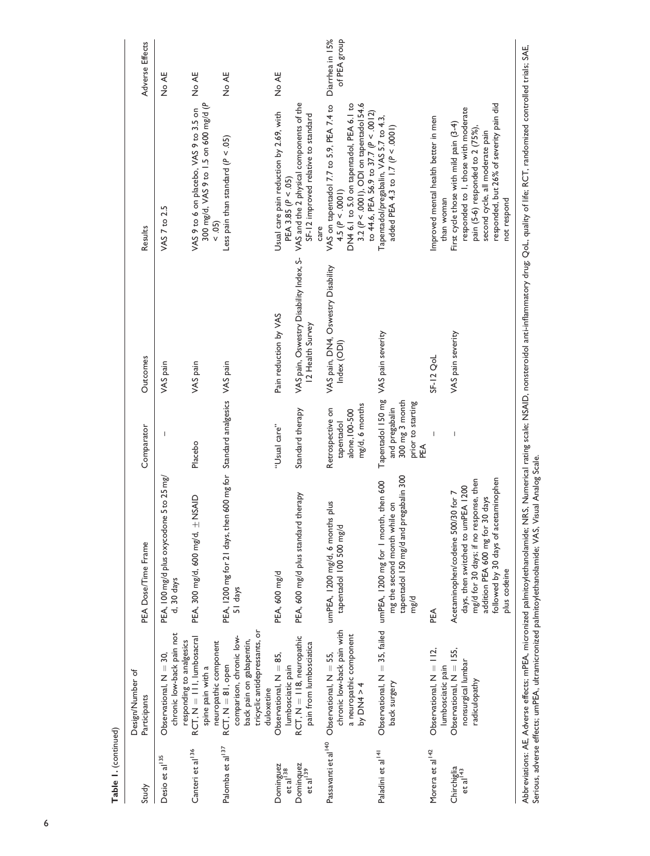| Table 1. (continued)                |                                                                                                                            |                                                                                                                                                                                                              |                                                                                          |                                                             |                                                                                                                                                                                                                     |                 |
|-------------------------------------|----------------------------------------------------------------------------------------------------------------------------|--------------------------------------------------------------------------------------------------------------------------------------------------------------------------------------------------------------|------------------------------------------------------------------------------------------|-------------------------------------------------------------|---------------------------------------------------------------------------------------------------------------------------------------------------------------------------------------------------------------------|-----------------|
| Study                               | Design/Number of<br>Participants                                                                                           | PEA Dose/Time Frame                                                                                                                                                                                          | Comparator                                                                               | Outcomes                                                    | Results                                                                                                                                                                                                             | Adverse Effects |
| Desio et al <sup>135</sup>          | chronic low-back pain not<br>responding to analgesics<br>Observational, $N = 30$ ,                                         | PEA, 100 mg/d plus oxycodone 5 to 25 mg/<br>d, 30 days                                                                                                                                                       |                                                                                          | VAS pain                                                    | VAS 7 to 2.5                                                                                                                                                                                                        | No AE           |
| Canteri et al <sup>136</sup>        | $RCT, N = \lfloor 11 \rfloor$ , lumbosacral<br>neuropathic component<br>spine pain with a                                  | PEA, 300 mg/d, 600 mg/d, ± NSAID                                                                                                                                                                             | Placebo                                                                                  | VAS pain                                                    | 300 mg/d, VAS 9 to 1.5 on 600 mg/d (P<br>VAS 9 to 6 on placebo, VAS 9 to 3.5 on<br>$\leq 0.5$                                                                                                                       | No AE           |
| Palomba et al <sup>137</sup>        | tricyclic antidepressants, or<br>comparison, chronic low-<br>back pain on gabapentin,<br>$RCT, N = 81, open$<br>duloxetine | PEA, 1200 mg for 21 days, then 600 mg for Standard analgesics VAS pain<br>51 days                                                                                                                            |                                                                                          |                                                             | Less pain than standard ( $P < .05$ )                                                                                                                                                                               | No AE           |
| Dominguez<br>et al <sup>138</sup>   | Observational, $N = 85$ ,<br>lumbosciatic pain                                                                             | PEA, 600 mg/d                                                                                                                                                                                                | "Usual care"                                                                             | Pain reduction by VAS                                       | Usual care pain reduction by 2.69, with<br>PEA 3.85 ( $P < .05$ )                                                                                                                                                   | No AE           |
| Dominquez<br>et al <sup>[39]</sup>  | RCT, N = 118, neuropathic<br>pain from lumbosciatica                                                                       | PEA, 600 mg/d plus standard therapy                                                                                                                                                                          | Standard therapy                                                                         | VAS pain, Oswestry Disability Index, S-<br>12 Health Survey | VAS and the 2 physical components of the<br>SF-12 improved relative to standard<br>care                                                                                                                             |                 |
| Passavanti et al <sup>140</sup>     | chronic low-back pain with<br>a neuropathic component<br>Observational, $N = 55$ ,<br>by $DM4 > 4$                         | umPEA, 1200 mg/d, 6 months plus<br>tapentadol 100 500 mg/d                                                                                                                                                   | mg/d, 6 months<br>Retrospective on<br>alone, 100-500<br>tapentadol                       | VAS pain, DN4, Oswestry Disability<br>Index (ODI)           | VAS on tapentadol 7.7 to 5.9, PEA 7.4 to Diarrhea in 15%<br>DN4 6.1 to 5.0 on tapentadol, PEA 6.1 to<br>3.2 ( $P < .0001$ ), ODI on tapentadol 54.6<br>to 44.6, PEA 56.9 to 37.7 (P < .0012)<br>4.5 ( $P < .0001$ ) | of PEA group    |
| Paladini et al <sup>141</sup>       | Observational, $N = 35$ , failed<br>back surgery                                                                           | tapentadol 150 mg/d and pregabalin 300<br>umPEA, I200 mg for 1 month, then 600<br>mg the second month while on<br>mg/d                                                                                       | Tapentadol 150 mg<br>300 mg 3 month<br>prior to starting<br>and pregabalin<br><b>PEA</b> | VAS pain severity                                           | Tapentadol/pregabalin, VAS 5.7 to 4.3,<br>added PEA 4.3 to 1.7 (P < .0001)                                                                                                                                          |                 |
| Morera et al <sup>142</sup>         | Observational, $N = 112$ ,<br>lumbosciatic pain                                                                            | Æ                                                                                                                                                                                                            |                                                                                          | <b>SF-12 QoL</b>                                            | Improved mental health better in men<br>than woman                                                                                                                                                                  |                 |
| Chirchiglia<br>et al <sup>143</sup> | Observational, $N = 155$ ,<br>nonsurgical lumbar<br>radiculopathy                                                          | followed by 30 days of acetaminophen<br>mg/d for 30 days; if no response, then<br>days, then switched to umPEA 1200<br>Acetaminophen/codeine 500/30 for 7<br>addition PEA 600 mg for 30 days<br>plus codeine | I                                                                                        | VAS pain severity                                           | responded, but 26% of severity pain did<br>responded to I, those with moderate<br>First cycle those with mild pain (3-4)<br>pain (5-6) responded to 2 (75%),<br>second cycle, all moderate pain<br>not respond      |                 |
|                                     |                                                                                                                            |                                                                                                                                                                                                              |                                                                                          |                                                             |                                                                                                                                                                                                                     |                 |

Abbreviations: AE, Adverse effects; mPEA, micronized palmitoylethanolamide; NRS, Numerical rating scale; NSAID, nonsteroidol anti-inflammatory drug; QoL, quality of life; RCT, randomized controlled trials; SAE,<br>Serious, ad Abbreviations: AE, Adverse effects; mPEA, micronized palmitoylethanolamide; NRS, Numerical rating scale; NSAID, nonsteroidol anti-inflammatory drug; QoL, quality of life; RCT, randomized controlled trials; SAE, Serious, adverse effects; umPEA, ultramicronized palmitoylethanolamide; VAS, Visual Analog Scale.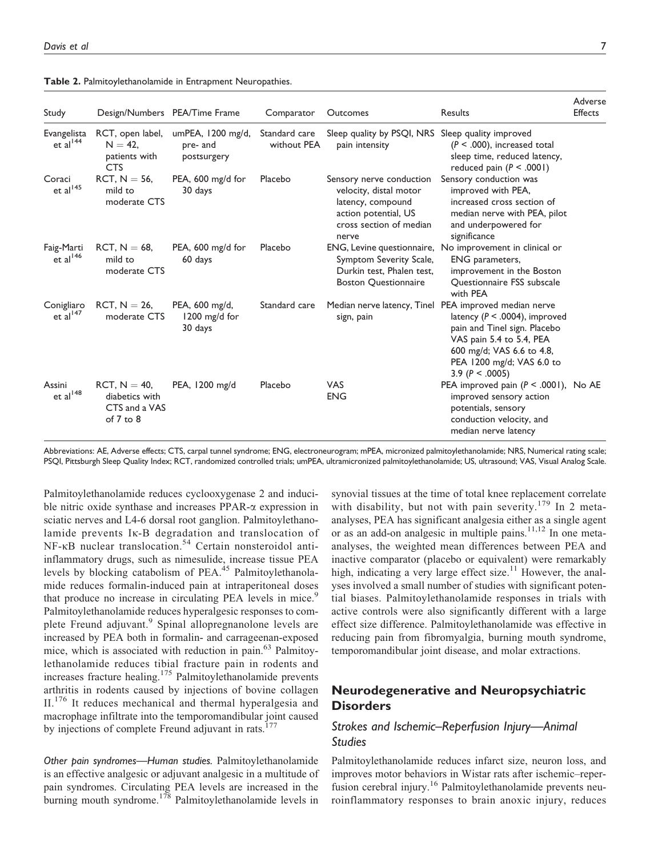| Study                               | Design/Numbers PEA/Time Frame                                      |                                                | Comparator                   | Outcomes                                                                                                                            | <b>Results</b>                                                                                                                                                                                                                        | Adverse<br>Effects |
|-------------------------------------|--------------------------------------------------------------------|------------------------------------------------|------------------------------|-------------------------------------------------------------------------------------------------------------------------------------|---------------------------------------------------------------------------------------------------------------------------------------------------------------------------------------------------------------------------------------|--------------------|
| Evangelista<br>et al <sup>144</sup> | RCT, open label,<br>$N = 42$ ,<br>patients with<br><b>CTS</b>      | umPEA, $1200$ mg/d,<br>pre- and<br>postsurgery | Standard care<br>without PEA | Sleep quality by PSQI, NRS Sleep quality improved<br>pain intensity                                                                 | $(P < .000)$ , increased total<br>sleep time, reduced latency,<br>reduced pain $(P < .0001)$                                                                                                                                          |                    |
| Coraci<br>et al $^{145}$            | $RCT, N = 56$ ,<br>mild to<br>moderate CTS                         | PEA, 600 mg/d for<br>30 days                   | Placebo                      | Sensory nerve conduction<br>velocity, distal motor<br>latency, compound<br>action potential, US<br>cross section of median<br>nerve | Sensory conduction was<br>improved with PEA,<br>increased cross section of<br>median nerve with PEA, pilot<br>and underpowered for<br>significance                                                                                    |                    |
| Faig-Marti<br>et al <sup>146</sup>  | $RCT, N = 68,$<br>mild to<br>moderate CTS                          | PEA, 600 mg/d for<br>60 days                   | Placebo                      | Symptom Severity Scale,<br>Durkin test, Phalen test,<br><b>Boston Questionnaire</b>                                                 | ENG, Levine questionnaire, No improvement in clinical or<br>ENG parameters,<br>improvement in the Boston<br><b>Ouestionnaire FSS subscale</b><br>with PEA                                                                             |                    |
| Conigliaro<br>et al $147$           | $RCT, N = 26$<br>moderate CTS                                      | PEA, 600 mg/d,<br>1200 mg/d for<br>30 days     | Standard care                | sign, pain                                                                                                                          | Median nerve latency, Tinel PEA improved median nerve<br>latency ( $P < .0004$ ), improved<br>pain and Tinel sign. Placebo<br>VAS pain 5.4 to 5.4, PEA<br>600 mg/d; VAS 6.6 to 4.8,<br>PEA 1200 mg/d; VAS 6.0 to<br>3.9 $(P < .0005)$ |                    |
| Assini<br>et al $^{148}$            | $RCT, N = 40,$<br>diabetics with<br>CTS and a VAS<br>of $7$ to $8$ | PEA, 1200 mg/d                                 | Placebo                      | <b>VAS</b><br><b>ENG</b>                                                                                                            | PEA improved pain $(P < .0001)$ , No AE<br>improved sensory action<br>potentials, sensory<br>conduction velocity, and<br>median nerve latency                                                                                         |                    |

Abbreviations: AE, Adverse effects; CTS, carpal tunnel syndrome; ENG, electroneurogram; mPEA, micronized palmitoylethanolamide; NRS, Numerical rating scale; PSQI, Pittsburgh Sleep Quality Index; RCT, randomized controlled trials; umPEA, ultramicronized palmitoylethanolamide; US, ultrasound; VAS, Visual Analog Scale.

Palmitoylethanolamide reduces cyclooxygenase 2 and inducible nitric oxide synthase and increases  $PPAR-\alpha$  expression in sciatic nerves and L4-6 dorsal root ganglion. Palmitoylethanolamide prevents Ik-B degradation and translocation of  $NF-\kappa B$  nuclear translocation.<sup>54</sup> Certain nonsteroidol antiinflammatory drugs, such as nimesulide, increase tissue PEA levels by blocking catabolism of PEA.<sup>45</sup> Palmitoylethanolamide reduces formalin-induced pain at intraperitoneal doses that produce no increase in circulating PEA levels in mice.<sup>9</sup> Palmitoylethanolamide reduces hyperalgesic responses to complete Freund adjuvant.<sup>9</sup> Spinal allopregnanolone levels are increased by PEA both in formalin- and carrageenan-exposed mice, which is associated with reduction in pain.<sup>63</sup> Palmitoylethanolamide reduces tibial fracture pain in rodents and increases fracture healing.<sup>175</sup> Palmitoylethanolamide prevents arthritis in rodents caused by injections of bovine collagen II.<sup>176</sup> It reduces mechanical and thermal hyperalgesia and macrophage infiltrate into the temporomandibular joint caused by injections of complete Freund adjuvant in rats.<sup>177</sup>

Other pain syndromes—Human studies. Palmitoylethanolamide is an effective analgesic or adjuvant analgesic in a multitude of pain syndromes. Circulating PEA levels are increased in the burning mouth syndrome.<sup>178</sup> Palmitoylethanolamide levels in

synovial tissues at the time of total knee replacement correlate with disability, but not with pain severity.<sup>179</sup> In 2 metaanalyses, PEA has significant analgesia either as a single agent or as an add-on analgesic in multiple pains.<sup>11,12</sup> In one metaanalyses, the weighted mean differences between PEA and inactive comparator (placebo or equivalent) were remarkably high, indicating a very large effect size.<sup>11</sup> However, the analyses involved a small number of studies with significant potential biases. Palmitoylethanolamide responses in trials with active controls were also significantly different with a large effect size difference. Palmitoylethanolamide was effective in reducing pain from fibromyalgia, burning mouth syndrome, temporomandibular joint disease, and molar extractions.

# Neurodegenerative and Neuropsychiatric **Disorders**

# Strokes and Ischemic–Reperfusion Injury—Animal Studies

Palmitoylethanolamide reduces infarct size, neuron loss, and improves motor behaviors in Wistar rats after ischemic–reperfusion cerebral injury.<sup>16</sup> Palmitoylethanolamide prevents neuroinflammatory responses to brain anoxic injury, reduces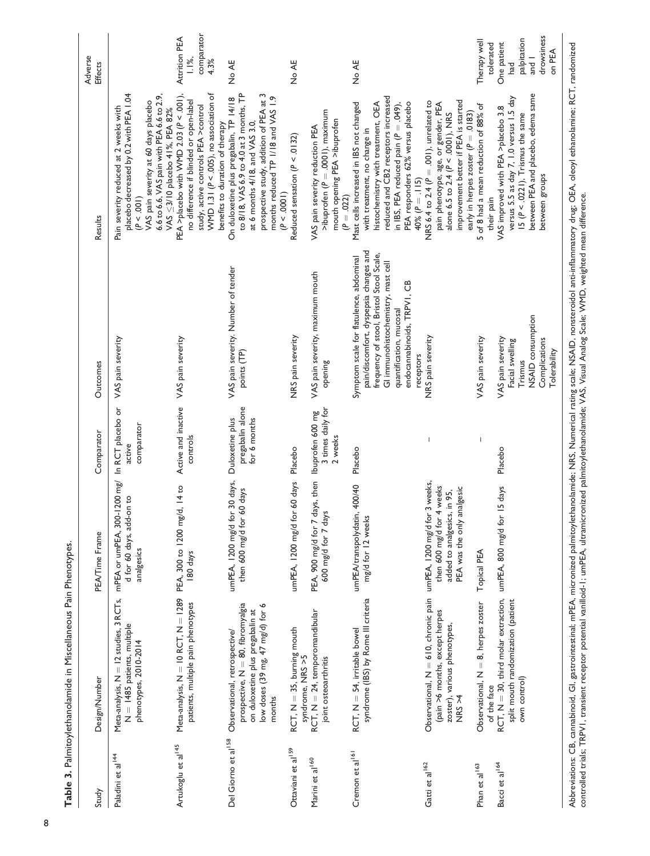| Study                           | Design/Number                                                                                                                                        | PEA/Time Frame                                                                            | Comparator                                          | Outcomes                                                                                                                                                                                                                                   | Results                                                                                                                                                                                                                                                   | Adverse<br><b>Effects</b>                                                         |
|---------------------------------|------------------------------------------------------------------------------------------------------------------------------------------------------|-------------------------------------------------------------------------------------------|-----------------------------------------------------|--------------------------------------------------------------------------------------------------------------------------------------------------------------------------------------------------------------------------------------------|-----------------------------------------------------------------------------------------------------------------------------------------------------------------------------------------------------------------------------------------------------------|-----------------------------------------------------------------------------------|
| Paladini et al <sup>144</sup>   | Meta-analysis, N = 12 studies, 3 RCTs, mPEA or umPEA, 300-1200 mg/<br>$N = 1485$ patients, multiple<br>phenotypes, 2010-2014                         | d for 60 days, add-on to<br>analgesics                                                    | In RCT placebo or<br>comparator<br>active           | VAS pain severity                                                                                                                                                                                                                          | placebo decreased by 0.2 with PEA 1.04<br>6.6 to 6.6, VAS pain with PEA 6.6 to 2.9,<br>VAS pain severity at 60 days placebo<br>Pain severity reduced at 2 weeks with<br>VAS ≤3/10 placebo 41%, PEA 82%<br>(P < .001)                                      |                                                                                   |
| Artukoglu et al <sup>145</sup>  | Meta-analysis, $N = 10$ RCT, $N = 1289$ PEA, 300 to 1200 mg/d, 14 to<br>patients, multiple pain phenotypes                                           | 180 days                                                                                  | Active and inactive VAS pain severity<br>controls   |                                                                                                                                                                                                                                            | PEA >placebo with WMD 2.03 ( $P < .001$ ),<br>WMD 1.31 ( $P < .005$ ), no association of<br>no difference if blinded or open-label<br>study, active controls PEA >control<br>benefits to duration of therapy                                              | comparator<br>Attrition PEA<br>$1.1\%$ ,<br>4.3%                                  |
| Del Giorno et al <sup>158</sup> | prospective, N = 80, fibromyalgia<br>low doses (39 mg, 47 mg/d) for 6<br>on duloxetine plus pregabalin at<br>Observational, retrospective/<br>months | umPEA, I200 mg/d for 30 days,<br>then 600 mg/d for 60 days                                | pregabalin alone<br>Duloxetine plus<br>for 6 months | VAS pain severity. Number of tender<br>points (TP)                                                                                                                                                                                         | to 8/18, VAS 6.9 to 4.0 at 3 months, TP<br>prospective study, addition of PEA at 3<br>months reduced TP I/18 and VAS 1.9<br>On duloxetine plus pregabalin, TP 14/18<br>at 6 months 4/18, and VAS 3.0,<br>(P < .0001)                                      | No AE                                                                             |
| Ottaviani et al <sup>159</sup>  | $RCT$ , $N = 35$ , burning mouth<br>syndrome, NRS >5                                                                                                 | umPEA, 1200 mg/d for 60 days                                                              | Placebo                                             | NRS pain severity                                                                                                                                                                                                                          | Reduced sensation ( $P < .0132$ )                                                                                                                                                                                                                         | No AE                                                                             |
| Marini et al <sup>160</sup>     | $RCT, N = 24, temporomandbular$<br>joint osteoarthritis                                                                                              | PEA, 900 mg/d for 7 days, then<br>600 mg/d for 7 days                                     | 3 times daily for<br>lbuprofen 600 mg<br>2 weeks    | VAS pain severity, maximum mouth<br>opening                                                                                                                                                                                                | $\geq$ ibuprofen ( $P = .0001$ ), maximum<br>mouth opening PEA >ibuprofen<br>VAS pain severity reduction PEA<br>$(P = .022)$                                                                                                                              |                                                                                   |
| Cremon et al <sup>161</sup>     | syndrome (IBS) by Rome III criteria<br>$RCT, N = 54,$ irritable bowel                                                                                | umPEA/transpolydatin, 400/40<br>mg/d for 12 weeks                                         | Placebo                                             | pain/discomfort, dyspepsia changes and<br>frequency of stool, Bristol Stool Scale,<br>Symptom scale for flatulence, abdominal<br>GI immunohistochemistry, mast cell<br>endocannabinoids, TRPVI, CB<br>quantification, mucosal<br>receptors | reduced and CB2 receptors increased<br>histochemistry with treatment, OEA<br>Mast cells increased in IBS not changed<br>PEA responders 62% versus placebo<br>in IBS, PEA reduced pain ( $P = .049$ ),<br>with treatment, no change in<br>40% $(P = .115)$ | No AE                                                                             |
| Gatti et al <sup>162</sup>      | Observational, $N = 610$ , chronic pain umPEA, 1200 mg/d for 3 weeks,<br>(pain >6 months, except herpes<br>zoster), various phenotypes,<br>NRS > 4   | then 600 mg/d for 4 weeks<br>analgesic<br>added to analgesics, in 95,<br>PEA was the only | I                                                   | NRS pain severity                                                                                                                                                                                                                          | improvement better if PEA is started<br>NRS 6.4 to 2.4 ( $P = .001$ ), unrelated to<br>pain phenotype, age, or gender, PEA<br>alone 6.5 to 2.4 ( $\bar{P}$ < .0001), NRS                                                                                  |                                                                                   |
| Phan et al <sup>163</sup>       | Observational, N = 8, herpes zoster                                                                                                                  | Topical PEA                                                                               | $\overline{\phantom{a}}$                            | VAS pain severity                                                                                                                                                                                                                          | 5 of 8 had a mean reduction of 88% of<br>early in herpes zoster (P = .0183)                                                                                                                                                                               | Therapy well                                                                      |
| Bacci et al <sup>164</sup>      | RCT, $N = 30$ , third molar extraction, umPEA, 800 mg/d for 15 days<br>split mouth randomization (patient<br>own control)<br>of the face             |                                                                                           | Placebo                                             | NSAID consumption<br>VAS pain severity<br>Complications<br>Facial swelling<br>Tolerability<br>Trismus                                                                                                                                      | between PEA and placebo, edema same<br>versus 5.5 as day 7, 1.0 versus 1.5 day<br>VAS improved with PEA >placebo 3.8<br>15 ( $P < .0221$ ), Trismus the same<br>between groups<br>their pain                                                              | drowsiness<br>palpitation<br>One patient<br>tolerated<br>on PEA<br>$1$ but<br>had |

Abbreviations: CB, cannabinoid, GI, gastrointestinal; mPEA, micronized palmitoylethanolamide; NRS, Numerical rating scale; NSAID, nonsteroidol anti-inflammatory drug; OEA, oleoyl ethanolamine; RCT, randomized<br>controlled tr Abbreviations: CB, cannabinoid, GI, gastrointestinal; mPEA, micronized palmitoylethanolamide; NRS, Numerical rating scale; NSAID, nonsteroidol anti-inflammatory drug; OEA, oleoyl ethanolamine; RCT, randomized controlled trials; TRPV1, transient receptor potential vanilloid-1; umPEA, ultramicronized palmitoylethanolamide; VAS, Visual Analog Scale; WMD, weighted mean difference.

Table 3. Palmitoylethanolamide in Miscellaneous Pain Phenotypes.

Table 3. Palmitoylethanolamide in Miscellaneous Pain Phenotypes.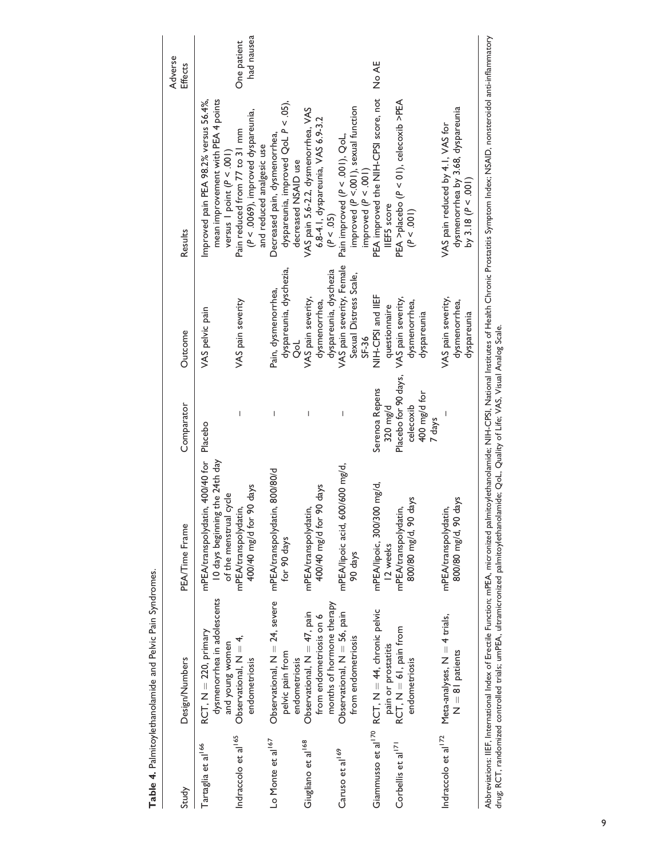|                                                                  | Table 4. Palmitoylethanolamide and Pelvic Pain Syndromes.                              |                                                                                                                                        |                                                    |                                                                                          |                                                                                                                                                                                                                         |                           |
|------------------------------------------------------------------|----------------------------------------------------------------------------------------|----------------------------------------------------------------------------------------------------------------------------------------|----------------------------------------------------|------------------------------------------------------------------------------------------|-------------------------------------------------------------------------------------------------------------------------------------------------------------------------------------------------------------------------|---------------------------|
| Study                                                            | Design/Numbers                                                                         | PEA/Time Frame                                                                                                                         | Comparator                                         | Outcome                                                                                  | Results                                                                                                                                                                                                                 | Adverse<br>Effects        |
| Tartaglia et al <sup>166</sup>                                   | dysmenorrhea in adolescents<br>$RCT, N = 220, primary$                                 | 10 days beginning the 24th day<br>mPEA/transpolydatin, 400/40 for                                                                      | Placebo                                            | VAS pelvic pain                                                                          | mean improvement with PEA 4 points<br>Improved pain PEA 98.2% versus 56.4%,                                                                                                                                             |                           |
| Indraccolo et al <sup>165</sup>                                  | Observational, $N = 4$ ,<br>and young women<br>endometriosis                           | 400/40 mg/d for 90 days<br>of the menstrual cycle<br>mPEA/transpolydatin,                                                              | $\overline{1}$                                     | VAS pain severity                                                                        | $(P < .0069)$ , improved dyspareunia,<br>Pain reduced from 77 to 31 mm<br>and reduced analgesic use<br>versus I point ( $P < .001$ )                                                                                    | had nausea<br>One patient |
| Lo Monte et al 167                                               | Observational, $N = 24$ , severe<br>pelvic pain from<br>endometriosis                  | mPEA/transpolydatin, 800/80/d<br>for 90 days                                                                                           | $\overline{1}$                                     | dyspareunia, dyschezia,<br>Pain, dysmenorrhea,<br>ol<br>O                                | dyspareunia, improved QoL P < .05),<br>Decreased pain, dysmenorrhea,<br>decreased NSAID use                                                                                                                             |                           |
| Giugliano et al <sup>168</sup>                                   | months of hormone therapy<br>Observational, $N = 47$ , pain<br>from endometriosis on 6 | 400/40 mg/d for 90 days<br>mPEA/transpolydatin,                                                                                        |                                                    | VAS pain severity,<br>dysmenorrhea,                                                      | VAS pain 5.6-2.2, dysmenorrhea, VAS<br>6.8-4.1, dyspareunia, VAS 6.9-3.2<br>(P < .05)                                                                                                                                   |                           |
| Caruso et al <sup>169</sup>                                      | Observational, $N = 56$ , pain<br>from endometriosis                                   | 600/600 mg/d,<br>mPEA/lipoic acid,<br>90 days                                                                                          | $\overline{\phantom{a}}$                           | VAS pain severity, Female<br>dyspareunia, dyschezia<br>Sexual Distress Scale,<br>$SE-36$ | improved ( $P < .001$ ), sexual function<br>Pain improved (P < .001), QoL,<br>improved $(P < .001)$                                                                                                                     |                           |
| Giammusso et al <sup>170</sup><br>Corbellis et al <sup>171</sup> | $RCT, N = 44,$ chronic pelvic<br>$RCT, N = 61$ , pain from<br>pain or prostatitis      | mPEA/lipoic, 300/300 mg/d,<br>mPEA/transpolydatin,<br>12 weeks                                                                         | Placebo for 90 days,<br>Serenoa Repens<br>320 mg/d | NIH-CPSI and IIEF<br>VAS pain severity,<br>questionnaire                                 | PEA improved the NIH-CPSI score, not<br>PEA >placebo (P < 01), celecoxib >PEA<br>IIEF5 score                                                                                                                            | No AE                     |
|                                                                  | endometriosis                                                                          | 800/80 mg/d, 90 days                                                                                                                   | 400 mg/d for<br>celecoxib<br>7 days                | dysmenorrhea,<br>dyspareunia                                                             | (P < .001)                                                                                                                                                                                                              |                           |
| Indraccolo et al <sup>172</sup>                                  | Meta-analyses, N = 4 trials,<br>$N = 81$ patients                                      | 800/80 mg/d, 90 days<br>mPEA/transpolydatin,                                                                                           |                                                    | VAS pain severity,<br>dysmenorrhea,<br>dyspareunia                                       | dysmenorrhea by 3.68, dyspareunia<br>VAS pain reduced by 4.1, VAS for<br>by 3.18 ( $P < .001$ )                                                                                                                         |                           |
|                                                                  |                                                                                        | drug; RCT, randomized controlled trials; umPEA, ultramicronized palmitoylethanolamide: QoL, Quality of Life; VAS, Visual Analog Scale. |                                                    |                                                                                          | Abbreviations: IIEF, International Index of Erectile Function; mPEA, micronized palmitoylethanolamide; NIH-CPSI, National Institutes of Health Chronic Prostatitis Symptom Index; NSAID, nonsteroidol anti-inflammatory |                           |

Table 4. Palmitoylethanolamide and Pelvic Pain Syndromes.

9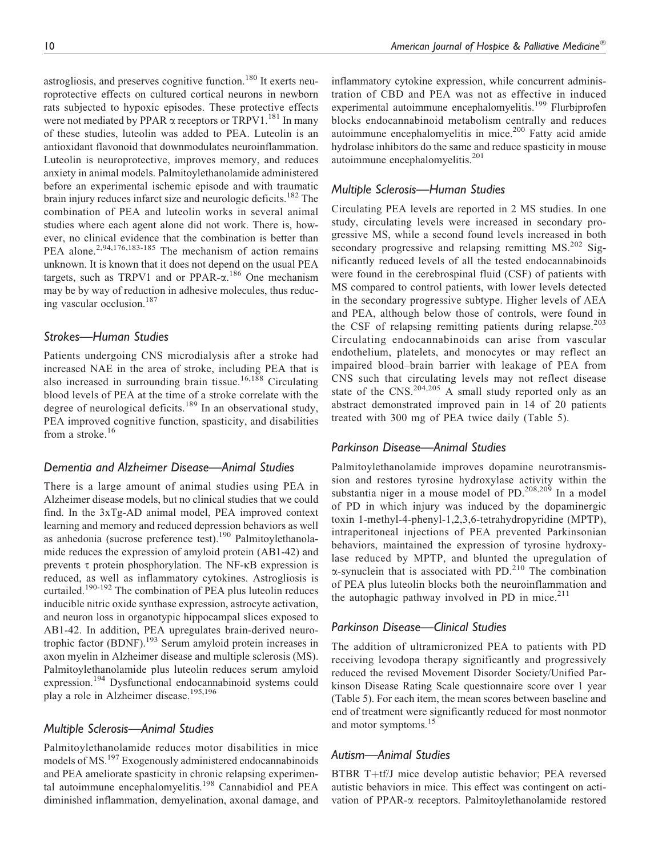astrogliosis, and preserves cognitive function.<sup>180</sup> It exerts neuroprotective effects on cultured cortical neurons in newborn rats subjected to hypoxic episodes. These protective effects were not mediated by PPAR  $\alpha$  receptors or TRPV1.<sup>181</sup> In many of these studies, luteolin was added to PEA. Luteolin is an antioxidant flavonoid that downmodulates neuroinflammation. Luteolin is neuroprotective, improves memory, and reduces anxiety in animal models. Palmitoylethanolamide administered before an experimental ischemic episode and with traumatic brain injury reduces infarct size and neurologic deficits.<sup>182</sup> The combination of PEA and luteolin works in several animal studies where each agent alone did not work. There is, however, no clinical evidence that the combination is better than PEA alone.<sup>2,94,176,183-185</sup> The mechanism of action remains unknown. It is known that it does not depend on the usual PEA targets, such as TRPV1 and or PPAR- $\alpha$ .<sup>186</sup> One mechanism may be by way of reduction in adhesive molecules, thus reducing vascular occlusion.<sup>187</sup>

## Strokes—Human Studies

Patients undergoing CNS microdialysis after a stroke had increased NAE in the area of stroke, including PEA that is also increased in surrounding brain tissue.<sup>16,188</sup> Circulating blood levels of PEA at the time of a stroke correlate with the degree of neurological deficits.<sup>189</sup> In an observational study, PEA improved cognitive function, spasticity, and disabilities from a stroke.<sup>16</sup>

#### Dementia and Alzheimer Disease—Animal Studies

There is a large amount of animal studies using PEA in Alzheimer disease models, but no clinical studies that we could find. In the 3xTg-AD animal model, PEA improved context learning and memory and reduced depression behaviors as well as anhedonia (sucrose preference test).<sup>190</sup> Palmitoylethanolamide reduces the expression of amyloid protein (AB1-42) and prevents  $\tau$  protein phosphorylation. The NF- $\kappa$ B expression is reduced, as well as inflammatory cytokines. Astrogliosis is curtailed.<sup>190-192</sup> The combination of PEA plus luteolin reduces inducible nitric oxide synthase expression, astrocyte activation, and neuron loss in organotypic hippocampal slices exposed to AB1-42. In addition, PEA upregulates brain-derived neurotrophic factor (BDNF).<sup>193</sup> Serum amyloid protein increases in axon myelin in Alzheimer disease and multiple sclerosis (MS). Palmitoylethanolamide plus luteolin reduces serum amyloid expression.<sup>194</sup> Dysfunctional endocannabinoid systems could play a role in Alzheimer disease.<sup>195,196</sup>

#### Multiple Sclerosis—Animal Studies

Palmitoylethanolamide reduces motor disabilities in mice models of MS.<sup>197</sup> Exogenously administered endocannabinoids and PEA ameliorate spasticity in chronic relapsing experimental autoimmune encephalomyelitis.<sup>198</sup> Cannabidiol and PEA diminished inflammation, demyelination, axonal damage, and

inflammatory cytokine expression, while concurrent administration of CBD and PEA was not as effective in induced experimental autoimmune encephalomyelitis.<sup>199</sup> Flurbiprofen blocks endocannabinoid metabolism centrally and reduces autoimmune encephalomyelitis in mice. $200$  Fatty acid amide hydrolase inhibitors do the same and reduce spasticity in mouse autoimmune encephalomyelitis.<sup>201</sup>

#### Multiple Sclerosis—Human Studies

Circulating PEA levels are reported in 2 MS studies. In one study, circulating levels were increased in secondary progressive MS, while a second found levels increased in both secondary progressive and relapsing remitting  $MS<sup>202</sup>$  Significantly reduced levels of all the tested endocannabinoids were found in the cerebrospinal fluid (CSF) of patients with MS compared to control patients, with lower levels detected in the secondary progressive subtype. Higher levels of AEA and PEA, although below those of controls, were found in the CSF of relapsing remitting patients during relapse.<sup>203</sup> Circulating endocannabinoids can arise from vascular endothelium, platelets, and monocytes or may reflect an impaired blood–brain barrier with leakage of PEA from CNS such that circulating levels may not reflect disease state of the  $CNS$ <sup>204,205</sup> A small study reported only as an abstract demonstrated improved pain in 14 of 20 patients treated with 300 mg of PEA twice daily (Table 5).

#### Parkinson Disease—Animal Studies

Palmitoylethanolamide improves dopamine neurotransmission and restores tyrosine hydroxylase activity within the substantia niger in a mouse model of PD. $208,209$  In a model of PD in which injury was induced by the dopaminergic toxin 1-methyl-4-phenyl-1,2,3,6-tetrahydropyridine (MPTP), intraperitoneal injections of PEA prevented Parkinsonian behaviors, maintained the expression of tyrosine hydroxylase reduced by MPTP, and blunted the upregulation of  $\alpha$ -synuclein that is associated with PD.<sup>210</sup> The combination of PEA plus luteolin blocks both the neuroinflammation and the autophagic pathway involved in PD in mice. $2^{11}$ 

### Parkinson Disease—Clinical Studies

The addition of ultramicronized PEA to patients with PD receiving levodopa therapy significantly and progressively reduced the revised Movement Disorder Society/Unified Parkinson Disease Rating Scale questionnaire score over 1 year (Table 5). For each item, the mean scores between baseline and end of treatment were significantly reduced for most nonmotor and motor symptoms.<sup>15</sup>

### Autism—Animal Studies

BTBR T+tf/J mice develop autistic behavior; PEA reversed autistic behaviors in mice. This effect was contingent on activation of PPAR-a receptors. Palmitoylethanolamide restored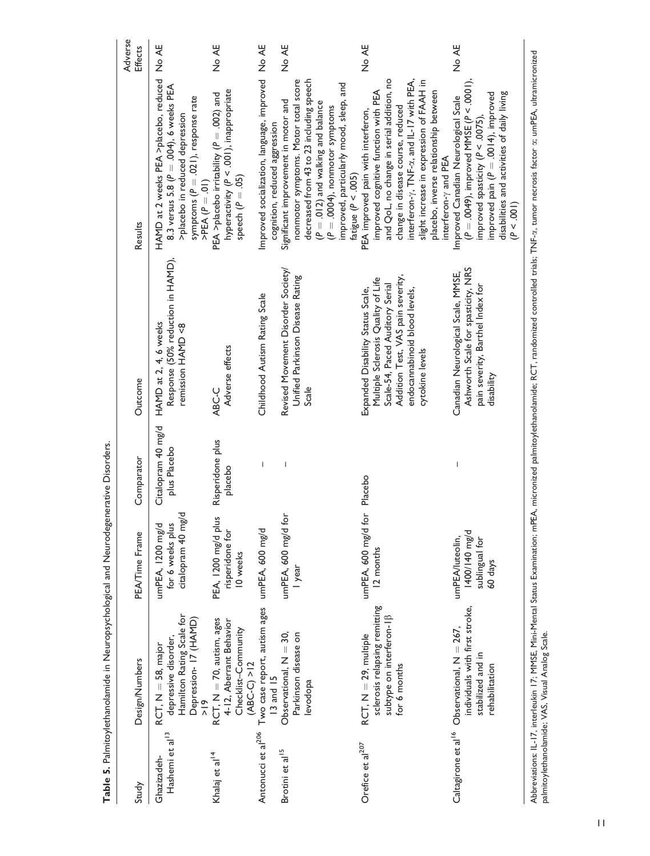|                                            |                                                                                                                      |                                                               |                                    |                                                                                                                                                                                                     |                                                                                                                                                                                                                                                                                                                                         | Adverse |
|--------------------------------------------|----------------------------------------------------------------------------------------------------------------------|---------------------------------------------------------------|------------------------------------|-----------------------------------------------------------------------------------------------------------------------------------------------------------------------------------------------------|-----------------------------------------------------------------------------------------------------------------------------------------------------------------------------------------------------------------------------------------------------------------------------------------------------------------------------------------|---------|
| Study                                      | Design/Numbers                                                                                                       | PEA/Time Frame                                                | Comparator                         | Outcome                                                                                                                                                                                             | Results                                                                                                                                                                                                                                                                                                                                 | Effects |
| Hashemi et al <sup>13</sup><br>Ghazizadeh- | Hamilton Rating Scale for<br>Depression-17 (HAMD)<br>depressive disorder,<br>$RCT, N = 58$ , major<br>$\frac{6}{10}$ | citalopram 40 mg/d<br>for 6 weeks plus<br>umPEA, 1200 mg/d    | Citalopram 40 mg/d<br>plus Placebo | Response (50% reduction in HAMD),<br>HAMD at 2, 4, 6 weeks<br>remission HAMD <8                                                                                                                     | HAMD at 2 weeks PEA >placebo, reduced<br>8.3 versus 5.8 ( $P = .004$ ), 6 weeks PEA<br>symptoms ( $P = .021$ ), response rate<br>>placebo in reduced depression<br>$PEA(P = 01)$                                                                                                                                                        | No AE   |
| Khalaj et al <sup>14</sup>                 | $RCT, N = 70,$ autism, ages<br>4-12, Aberrant Behavior<br>Checklist-Community<br>$(ABC-C) > 12$                      | PEA, 1200 mg/d plus<br>risperidone for<br>10 weeks            | Risperidone plus<br>placebo        | Adverse effects<br>ABC-C                                                                                                                                                                            | hyperactivity (P < .001), inappropriate<br>PEA >placebo irritability ( $P = .002$ ) and<br>speech ( $P = .05$ )                                                                                                                                                                                                                         | No AE   |
| Antonucci et al <sup>206</sup>             | Two case report, autism ages<br>13 and 15                                                                            | umPEA, 600 mg/d                                               | I                                  | Childhood Autism Rating Scale                                                                                                                                                                       | Improved socialization, language, improved No AE<br>cognition, reduced aggression                                                                                                                                                                                                                                                       |         |
| Brotini et al <sup>15</sup>                | Observational, $N = 30$ ,<br>Parkinson disease on<br>levodopa                                                        | umPEA, 600 mg/d for<br>I year                                 |                                    | Revised Movement Disorder Society/<br>Unified Parkinson Disease Rating<br>Scale                                                                                                                     | decreased from 43 to 23 including speech<br>nonmotor symptoms. Motor total score<br>improved, particularly mood, sleep, and<br>Significant improvement in motor and<br>$(P = .012)$ and walking and balance<br>$(P = .0004)$ , nonmotor symptoms<br>fatigue ( $P < .005$ )                                                              | No AE   |
| Orefice et al <sup>207</sup>               | sclerosis relapsing remitting<br>subtype on interferon-IB<br>$RCT, N = 29, multiple$<br>for 6 months                 | umPEA, 600 mg/d<br>12 months                                  | for Placebo                        | Addition Test, VAS pain severity,<br>Multiple Sclerosis Quality of Life<br>Scale-54, Paced Auditory Serial<br>Expanded Disability Status Scale,<br>endocannabinoid blood levels,<br>cytokine levels | and QoL, no change in serial addition, no<br>interferon- $\gamma$ , TNF- $\alpha$ , and IL-17 with PEA,<br>slight increase in expression of FAAH in<br>placebo, inverse relationship between<br>improved cognitive function with PEA<br>change in disease course, reduced<br>PEA improved pain with interferon,<br>interferon-y and PEA | No AE   |
| Caltagirone et al <sup>16</sup>            | individuals with first stroke,<br>Observational, $N = 267$ ,<br>stabilized and in<br>rehabilitation                  | 1400/140 mg/d<br>umPEA/luteolin,<br>sublingual for<br>60 days |                                    | Ashworth Scale for spasticity, NRS<br>Canadian Neurological Scale, MMSE,<br>pain severity, Barthel Index for<br>disability                                                                          | $(P = .0049)$ , improved MMSE $(P < .0001)$ ,<br>improved pain ( $P = .0014$ ), improved<br>disabilities and activities of daily living<br>Improved Canadian Neurological Scale<br>improved spasticity ( $P < .0075$ )<br>(P < .001)                                                                                                    | No AE   |
|                                            | Abbeniational II I7 intolation 17: MMCE Mini Mantel Ctottle Examination                                              |                                                               |                                    | a DEA — wire irod estimately attack of the DCT — metric of the leader of the left of the LA HNE at the contract                                                                                     | altana fa ata ar su sua DEA illeana isa aiasa                                                                                                                                                                                                                                                                                           |         |

**Table 5.** Palmitovlethanolamide in Neuronsychological and Neurodegenerative Disorders. Table 5. Palmitoylethanolamide in Neuropsychological and Neurodegenerative Disorders.

Abbreviations: IL-17, interleukin 17; MMSE, Mini-Mental Status Examination; mPEA, micronized palmitoylethanolamide; RCT, randomized controlled trials; TNF-x, tumor necrosis factor x; umPEA, ultramicronized<br>palmitoylethanol Abbreviations: IL-17, interleukin 17; MMSE, Mini-Mental Status Examination; mPEA, micronized palmitoylethanolamide; RCT, randomized controlled trials; TNF-a, tumor necrosis factor a; umPEA, ultramicronized palmitoylethanolamide; VAS, Visual Analog Scale.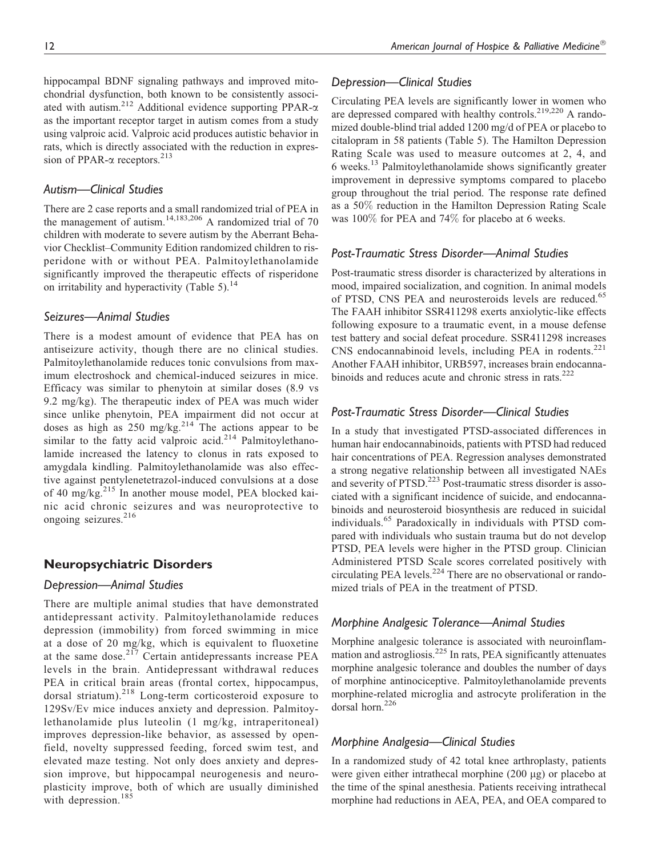hippocampal BDNF signaling pathways and improved mitochondrial dysfunction, both known to be consistently associated with autism.<sup>212</sup> Additional evidence supporting PPAR- $\alpha$ as the important receptor target in autism comes from a study using valproic acid. Valproic acid produces autistic behavior in rats, which is directly associated with the reduction in expression of PPAR- $\alpha$  receptors.<sup>213</sup>

## Autism—Clinical Studies

There are 2 case reports and a small randomized trial of PEA in the management of autism.<sup>14,183,206</sup> A randomized trial of 70 children with moderate to severe autism by the Aberrant Behavior Checklist–Community Edition randomized children to risperidone with or without PEA. Palmitoylethanolamide significantly improved the therapeutic effects of risperidone on irritability and hyperactivity (Table 5).<sup>14</sup>

#### Seizures—Animal Studies

There is a modest amount of evidence that PEA has on antiseizure activity, though there are no clinical studies. Palmitoylethanolamide reduces tonic convulsions from maximum electroshock and chemical-induced seizures in mice. Efficacy was similar to phenytoin at similar doses (8.9 vs 9.2 mg/kg). The therapeutic index of PEA was much wider since unlike phenytoin, PEA impairment did not occur at doses as high as  $250 \text{ mg/kg}$ .<sup>214</sup> The actions appear to be similar to the fatty acid valproic acid.<sup>214</sup> Palmitoylethanolamide increased the latency to clonus in rats exposed to amygdala kindling. Palmitoylethanolamide was also effective against pentylenetetrazol-induced convulsions at a dose of 40 mg/kg.<sup>215</sup> In another mouse model, PEA blocked kainic acid chronic seizures and was neuroprotective to ongoing seizures.<sup>216</sup>

### Neuropsychiatric Disorders

#### Depression—Animal Studies

There are multiple animal studies that have demonstrated antidepressant activity. Palmitoylethanolamide reduces depression (immobility) from forced swimming in mice at a dose of 20 mg/kg, which is equivalent to fluoxetine at the same dose.<sup>217</sup> Certain antidepressants increase PEA levels in the brain. Antidepressant withdrawal reduces PEA in critical brain areas (frontal cortex, hippocampus, dorsal striatum).<sup>218</sup> Long-term corticosteroid exposure to 129Sv/Ev mice induces anxiety and depression. Palmitoylethanolamide plus luteolin (1 mg/kg, intraperitoneal) improves depression-like behavior, as assessed by openfield, novelty suppressed feeding, forced swim test, and elevated maze testing. Not only does anxiety and depression improve, but hippocampal neurogenesis and neuroplasticity improve, both of which are usually diminished with depression.<sup>185</sup>

#### Depression—Clinical Studies

Circulating PEA levels are significantly lower in women who are depressed compared with healthy controls.<sup>219,220</sup> A randomized double-blind trial added 1200 mg/d of PEA or placebo to citalopram in 58 patients (Table 5). The Hamilton Depression Rating Scale was used to measure outcomes at 2, 4, and 6 weeks.<sup>13</sup> Palmitoylethanolamide shows significantly greater improvement in depressive symptoms compared to placebo group throughout the trial period. The response rate defined as a 50% reduction in the Hamilton Depression Rating Scale was 100% for PEA and 74% for placebo at 6 weeks.

#### Post-Traumatic Stress Disorder—Animal Studies

Post-traumatic stress disorder is characterized by alterations in mood, impaired socialization, and cognition. In animal models of PTSD, CNS PEA and neurosteroids levels are reduced.<sup>65</sup> The FAAH inhibitor SSR411298 exerts anxiolytic-like effects following exposure to a traumatic event, in a mouse defense test battery and social defeat procedure. SSR411298 increases CNS endocannabinoid levels, including PEA in rodents.<sup>221</sup> Another FAAH inhibitor, URB597, increases brain endocannabinoids and reduces acute and chronic stress in rats. $222$ 

### Post-Traumatic Stress Disorder—Clinical Studies

In a study that investigated PTSD-associated differences in human hair endocannabinoids, patients with PTSD had reduced hair concentrations of PEA. Regression analyses demonstrated a strong negative relationship between all investigated NAEs and severity of PTSD.<sup>223</sup> Post-traumatic stress disorder is associated with a significant incidence of suicide, and endocannabinoids and neurosteroid biosynthesis are reduced in suicidal individuals.<sup>65</sup> Paradoxically in individuals with PTSD compared with individuals who sustain trauma but do not develop PTSD, PEA levels were higher in the PTSD group. Clinician Administered PTSD Scale scores correlated positively with circulating PEA levels. $^{224}$  There are no observational or randomized trials of PEA in the treatment of PTSD.

### Morphine Analgesic Tolerance—Animal Studies

Morphine analgesic tolerance is associated with neuroinflammation and astrogliosis. $^{225}$  In rats, PEA significantly attenuates morphine analgesic tolerance and doubles the number of days of morphine antinociceptive. Palmitoylethanolamide prevents morphine-related microglia and astrocyte proliferation in the dorsal horn.<sup>226</sup>

### Morphine Analgesia—Clinical Studies

In a randomized study of 42 total knee arthroplasty, patients were given either intrathecal morphine  $(200 \mu g)$  or placebo at the time of the spinal anesthesia. Patients receiving intrathecal morphine had reductions in AEA, PEA, and OEA compared to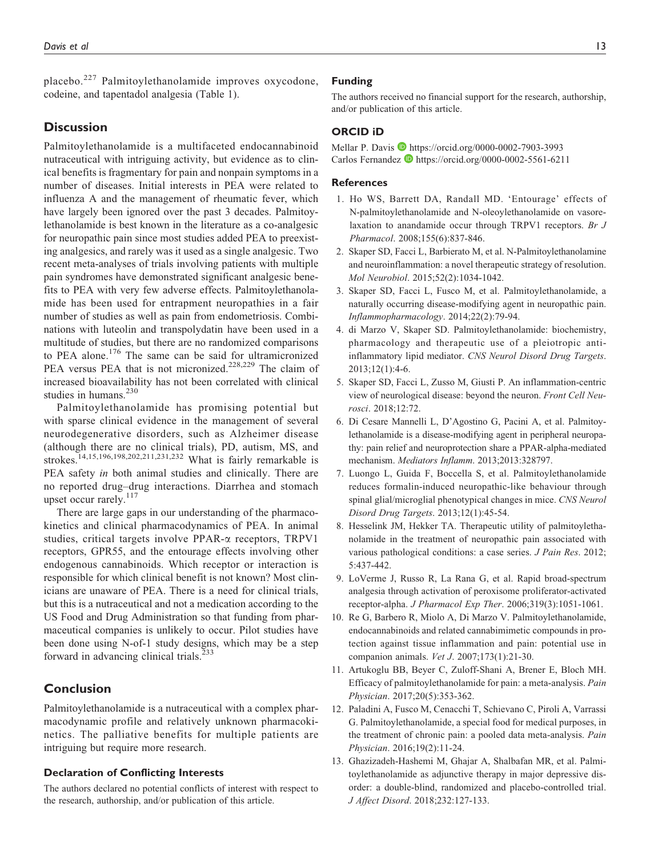placebo.<sup>227</sup> Palmitoylethanolamide improves oxycodone, codeine, and tapentadol analgesia (Table 1).

# **Discussion**

Palmitoylethanolamide is a multifaceted endocannabinoid nutraceutical with intriguing activity, but evidence as to clinical benefits is fragmentary for pain and nonpain symptoms in a number of diseases. Initial interests in PEA were related to influenza A and the management of rheumatic fever, which have largely been ignored over the past 3 decades. Palmitoylethanolamide is best known in the literature as a co-analgesic for neuropathic pain since most studies added PEA to preexisting analgesics, and rarely was it used as a single analgesic. Two recent meta-analyses of trials involving patients with multiple pain syndromes have demonstrated significant analgesic benefits to PEA with very few adverse effects. Palmitoylethanolamide has been used for entrapment neuropathies in a fair number of studies as well as pain from endometriosis. Combinations with luteolin and transpolydatin have been used in a multitude of studies, but there are no randomized comparisons to PEA alone.<sup>176</sup> The same can be said for ultramicronized PEA versus PEA that is not micronized.<sup>228,229</sup> The claim of increased bioavailability has not been correlated with clinical studies in humans.<sup>230</sup>

Palmitoylethanolamide has promising potential but with sparse clinical evidence in the management of several neurodegenerative disorders, such as Alzheimer disease (although there are no clinical trials), PD, autism, MS, and strokes.<sup>14,15,196,198,202,211,231,232</sup> What is fairly remarkable is PEA safety *in* both animal studies and clinically. There are no reported drug–drug interactions. Diarrhea and stomach upset occur rarely.<sup>117</sup>

There are large gaps in our understanding of the pharmacokinetics and clinical pharmacodynamics of PEA. In animal studies, critical targets involve PPAR-a receptors, TRPV1 receptors, GPR55, and the entourage effects involving other endogenous cannabinoids. Which receptor or interaction is responsible for which clinical benefit is not known? Most clinicians are unaware of PEA. There is a need for clinical trials, but this is a nutraceutical and not a medication according to the US Food and Drug Administration so that funding from pharmaceutical companies is unlikely to occur. Pilot studies have been done using N-of-1 study designs, which may be a step forward in advancing clinical trials.<sup>233</sup>

# Conclusion

Palmitoylethanolamide is a nutraceutical with a complex pharmacodynamic profile and relatively unknown pharmacokinetics. The palliative benefits for multiple patients are intriguing but require more research.

#### Declaration of Conflicting Interests

The authors declared no potential conflicts of interest with respect to the research, authorship, and/or publication of this article.

#### Funding

The authors received no financial support for the research, authorship, and/or publication of this article.

#### ORCID iD

Mellar P. Davis D<https://orcid.org/0000-0002-7903-3993> Carlos Fernandez <https://orcid.org/0000-0002-5561-6211>

#### **References**

- 1. Ho WS, Barrett DA, Randall MD. 'Entourage' effects of N-palmitoylethanolamide and N-oleoylethanolamide on vasorelaxation to anandamide occur through TRPV1 receptors. Br J Pharmacol. 2008;155(6):837-846.
- 2. Skaper SD, Facci L, Barbierato M, et al. N-Palmitoylethanolamine and neuroinflammation: a novel therapeutic strategy of resolution. Mol Neurobiol. 2015;52(2):1034-1042.
- 3. Skaper SD, Facci L, Fusco M, et al. Palmitoylethanolamide, a naturally occurring disease-modifying agent in neuropathic pain. Inflammopharmacology. 2014;22(2):79-94.
- 4. di Marzo V, Skaper SD. Palmitoylethanolamide: biochemistry, pharmacology and therapeutic use of a pleiotropic antiinflammatory lipid mediator. CNS Neurol Disord Drug Targets. 2013;12(1):4-6.
- 5. Skaper SD, Facci L, Zusso M, Giusti P. An inflammation-centric view of neurological disease: beyond the neuron. Front Cell Neurosci. 2018;12:72.
- 6. Di Cesare Mannelli L, D'Agostino G, Pacini A, et al. Palmitoylethanolamide is a disease-modifying agent in peripheral neuropathy: pain relief and neuroprotection share a PPAR-alpha-mediated mechanism. Mediators Inflamm. 2013;2013:328797.
- 7. Luongo L, Guida F, Boccella S, et al. Palmitoylethanolamide reduces formalin-induced neuropathic-like behaviour through spinal glial/microglial phenotypical changes in mice. CNS Neurol Disord Drug Targets. 2013;12(1):45-54.
- 8. Hesselink JM, Hekker TA. Therapeutic utility of palmitoylethanolamide in the treatment of neuropathic pain associated with various pathological conditions: a case series. J Pain Res. 2012; 5:437-442.
- 9. LoVerme J, Russo R, La Rana G, et al. Rapid broad-spectrum analgesia through activation of peroxisome proliferator-activated receptor-alpha. J Pharmacol Exp Ther. 2006;319(3):1051-1061.
- 10. Re G, Barbero R, Miolo A, Di Marzo V. Palmitoylethanolamide, endocannabinoids and related cannabimimetic compounds in protection against tissue inflammation and pain: potential use in companion animals. Vet J. 2007;173(1):21-30.
- 11. Artukoglu BB, Beyer C, Zuloff-Shani A, Brener E, Bloch MH. Efficacy of palmitoylethanolamide for pain: a meta-analysis. Pain Physician. 2017;20(5):353-362.
- 12. Paladini A, Fusco M, Cenacchi T, Schievano C, Piroli A, Varrassi G. Palmitoylethanolamide, a special food for medical purposes, in the treatment of chronic pain: a pooled data meta-analysis. Pain Physician. 2016;19(2):11-24.
- 13. Ghazizadeh-Hashemi M, Ghajar A, Shalbafan MR, et al. Palmitoylethanolamide as adjunctive therapy in major depressive disorder: a double-blind, randomized and placebo-controlled trial. J Affect Disord. 2018;232:127-133.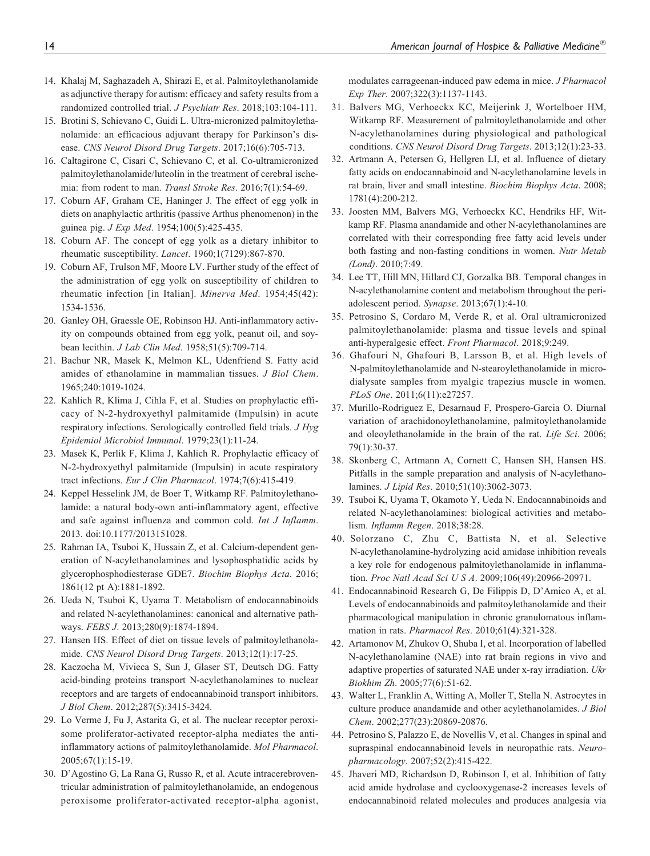- 14. Khalaj M, Saghazadeh A, Shirazi E, et al. Palmitoylethanolamide as adjunctive therapy for autism: efficacy and safety results from a randomized controlled trial. J Psychiatr Res. 2018;103:104-111.
- 15. Brotini S, Schievano C, Guidi L. Ultra-micronized palmitoylethanolamide: an efficacious adjuvant therapy for Parkinson's disease. CNS Neurol Disord Drug Targets. 2017;16(6):705-713.
- 16. Caltagirone C, Cisari C, Schievano C, et al. Co-ultramicronized palmitoylethanolamide/luteolin in the treatment of cerebral ischemia: from rodent to man. Transl Stroke Res. 2016;7(1):54-69.
- 17. Coburn AF, Graham CE, Haninger J. The effect of egg yolk in diets on anaphylactic arthritis (passive Arthus phenomenon) in the guinea pig. J Exp Med. 1954;100(5):425-435.
- 18. Coburn AF. The concept of egg yolk as a dietary inhibitor to rheumatic susceptibility. Lancet. 1960;1(7129):867-870.
- 19. Coburn AF, Trulson MF, Moore LV. Further study of the effect of the administration of egg yolk on susceptibility of children to rheumatic infection [in Italian]. Minerva Med. 1954;45(42): 1534-1536.
- 20. Ganley OH, Graessle OE, Robinson HJ. Anti-inflammatory activity on compounds obtained from egg yolk, peanut oil, and soybean lecithin. *J Lab Clin Med*. 1958;51(5):709-714.
- 21. Bachur NR, Masek K, Melmon KL, Udenfriend S. Fatty acid amides of ethanolamine in mammalian tissues. J Biol Chem. 1965;240:1019-1024.
- 22. Kahlich R, Klima J, Cihla F, et al. Studies on prophylactic efficacy of N-2-hydroxyethyl palmitamide (Impulsin) in acute respiratory infections. Serologically controlled field trials. J Hyg Epidemiol Microbiol Immunol. 1979;23(1):11-24.
- 23. Masek K, Perlik F, Klima J, Kahlich R. Prophylactic efficacy of N-2-hydroxyethyl palmitamide (Impulsin) in acute respiratory tract infections. Eur J Clin Pharmacol. 1974;7(6):415-419.
- 24. Keppel Hesselink JM, de Boer T, Witkamp RF. Palmitoylethanolamide: a natural body-own anti-inflammatory agent, effective and safe against influenza and common cold. Int J Inflamm. 2013. doi:10.1177/2013151028.
- 25. Rahman IA, Tsuboi K, Hussain Z, et al. Calcium-dependent generation of N-acylethanolamines and lysophosphatidic acids by glycerophosphodiesterase GDE7. Biochim Biophys Acta. 2016; 1861(12 pt A):1881-1892.
- 26. Ueda N, Tsuboi K, Uyama T. Metabolism of endocannabinoids and related N-acylethanolamines: canonical and alternative pathways. FEBS J. 2013;280(9):1874-1894.
- 27. Hansen HS. Effect of diet on tissue levels of palmitoylethanolamide. CNS Neurol Disord Drug Targets. 2013;12(1):17-25.
- 28. Kaczocha M, Vivieca S, Sun J, Glaser ST, Deutsch DG. Fatty acid-binding proteins transport N-acylethanolamines to nuclear receptors and are targets of endocannabinoid transport inhibitors. J Biol Chem. 2012;287(5):3415-3424.
- 29. Lo Verme J, Fu J, Astarita G, et al. The nuclear receptor peroxisome proliferator-activated receptor-alpha mediates the antiinflammatory actions of palmitoylethanolamide. Mol Pharmacol. 2005;67(1):15-19.
- 30. D'Agostino G, La Rana G, Russo R, et al. Acute intracerebroventricular administration of palmitoylethanolamide, an endogenous peroxisome proliferator-activated receptor-alpha agonist,

modulates carrageenan-induced paw edema in mice. J Pharmacol Exp Ther. 2007;322(3):1137-1143.

- 31. Balvers MG, Verhoeckx KC, Meijerink J, Wortelboer HM, Witkamp RF. Measurement of palmitoylethanolamide and other N-acylethanolamines during physiological and pathological conditions. CNS Neurol Disord Drug Targets. 2013;12(1):23-33.
- 32. Artmann A, Petersen G, Hellgren LI, et al. Influence of dietary fatty acids on endocannabinoid and N-acylethanolamine levels in rat brain, liver and small intestine. Biochim Biophys Acta. 2008; 1781(4):200-212.
- 33. Joosten MM, Balvers MG, Verhoeckx KC, Hendriks HF, Witkamp RF. Plasma anandamide and other N-acylethanolamines are correlated with their corresponding free fatty acid levels under both fasting and non-fasting conditions in women. Nutr Metab (Lond). 2010;7:49.
- 34. Lee TT, Hill MN, Hillard CJ, Gorzalka BB. Temporal changes in N-acylethanolamine content and metabolism throughout the periadolescent period. Synapse. 2013;67(1):4-10.
- 35. Petrosino S, Cordaro M, Verde R, et al. Oral ultramicronized palmitoylethanolamide: plasma and tissue levels and spinal anti-hyperalgesic effect. Front Pharmacol. 2018;9:249.
- 36. Ghafouri N, Ghafouri B, Larsson B, et al. High levels of N-palmitoylethanolamide and N-stearoylethanolamide in microdialysate samples from myalgic trapezius muscle in women. PLoS One. 2011;6(11):e27257.
- 37. Murillo-Rodriguez E, Desarnaud F, Prospero-Garcia O. Diurnal variation of arachidonoylethanolamine, palmitoylethanolamide and oleoylethanolamide in the brain of the rat. Life Sci. 2006; 79(1):30-37.
- 38. Skonberg C, Artmann A, Cornett C, Hansen SH, Hansen HS. Pitfalls in the sample preparation and analysis of N-acylethanolamines. J Lipid Res. 2010;51(10):3062-3073.
- 39. Tsuboi K, Uyama T, Okamoto Y, Ueda N. Endocannabinoids and related N-acylethanolamines: biological activities and metabolism. Inflamm Regen. 2018;38:28.
- 40. Solorzano C, Zhu C, Battista N, et al. Selective N-acylethanolamine-hydrolyzing acid amidase inhibition reveals a key role for endogenous palmitoylethanolamide in inflammation. Proc Natl Acad Sci U S A. 2009;106(49):20966-20971.
- 41. Endocannabinoid Research G, De Filippis D, D'Amico A, et al. Levels of endocannabinoids and palmitoylethanolamide and their pharmacological manipulation in chronic granulomatous inflammation in rats. Pharmacol Res. 2010;61(4):321-328.
- 42. Artamonov M, Zhukov O, Shuba I, et al. Incorporation of labelled N-acylethanolamine (NAE) into rat brain regions in vivo and adaptive properties of saturated NAE under x-ray irradiation. Ukr Biokhim Zh. 2005;77(6):51-62.
- 43. Walter L, Franklin A, Witting A, Moller T, Stella N. Astrocytes in culture produce anandamide and other acylethanolamides. J Biol Chem. 2002;277(23):20869-20876.
- 44. Petrosino S, Palazzo E, de Novellis V, et al. Changes in spinal and supraspinal endocannabinoid levels in neuropathic rats. Neuropharmacology. 2007;52(2):415-422.
- 45. Jhaveri MD, Richardson D, Robinson I, et al. Inhibition of fatty acid amide hydrolase and cyclooxygenase-2 increases levels of endocannabinoid related molecules and produces analgesia via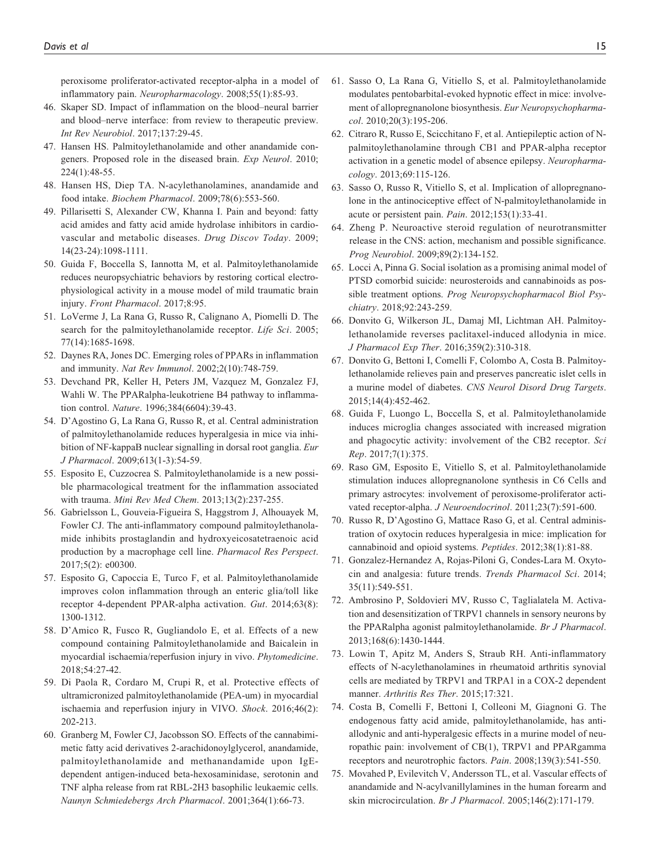peroxisome proliferator-activated receptor-alpha in a model of inflammatory pain. Neuropharmacology. 2008;55(1):85-93.

- 46. Skaper SD. Impact of inflammation on the blood–neural barrier and blood–nerve interface: from review to therapeutic preview. Int Rev Neurobiol. 2017;137:29-45.
- 47. Hansen HS. Palmitoylethanolamide and other anandamide congeners. Proposed role in the diseased brain. Exp Neurol. 2010; 224(1):48-55.
- 48. Hansen HS, Diep TA. N-acylethanolamines, anandamide and food intake. Biochem Pharmacol. 2009;78(6):553-560.
- 49. Pillarisetti S, Alexander CW, Khanna I. Pain and beyond: fatty acid amides and fatty acid amide hydrolase inhibitors in cardiovascular and metabolic diseases. Drug Discov Today. 2009; 14(23-24):1098-1111.
- 50. Guida F, Boccella S, Iannotta M, et al. Palmitoylethanolamide reduces neuropsychiatric behaviors by restoring cortical electrophysiological activity in a mouse model of mild traumatic brain injury. Front Pharmacol. 2017;8:95.
- 51. LoVerme J, La Rana G, Russo R, Calignano A, Piomelli D. The search for the palmitoylethanolamide receptor. Life Sci. 2005; 77(14):1685-1698.
- 52. Daynes RA, Jones DC. Emerging roles of PPARs in inflammation and immunity. Nat Rev Immunol. 2002;2(10):748-759.
- 53. Devchand PR, Keller H, Peters JM, Vazquez M, Gonzalez FJ, Wahli W. The PPARalpha-leukotriene B4 pathway to inflammation control. Nature. 1996;384(6604):39-43.
- 54. D'Agostino G, La Rana G, Russo R, et al. Central administration of palmitoylethanolamide reduces hyperalgesia in mice via inhibition of NF-kappaB nuclear signalling in dorsal root ganglia. Eur J Pharmacol. 2009;613(1-3):54-59.
- 55. Esposito E, Cuzzocrea S. Palmitoylethanolamide is a new possible pharmacological treatment for the inflammation associated with trauma. Mini Rev Med Chem. 2013;13(2):237-255.
- 56. Gabrielsson L, Gouveia-Figueira S, Haggstrom J, Alhouayek M, Fowler CJ. The anti-inflammatory compound palmitoylethanolamide inhibits prostaglandin and hydroxyeicosatetraenoic acid production by a macrophage cell line. Pharmacol Res Perspect. 2017;5(2): e00300.
- 57. Esposito G, Capoccia E, Turco F, et al. Palmitoylethanolamide improves colon inflammation through an enteric glia/toll like receptor 4-dependent PPAR-alpha activation. Gut. 2014;63(8): 1300-1312.
- 58. D'Amico R, Fusco R, Gugliandolo E, et al. Effects of a new compound containing Palmitoylethanolamide and Baicalein in myocardial ischaemia/reperfusion injury in vivo. Phytomedicine. 2018;54:27-42.
- 59. Di Paola R, Cordaro M, Crupi R, et al. Protective effects of ultramicronized palmitoylethanolamide (PEA-um) in myocardial ischaemia and reperfusion injury in VIVO. Shock. 2016;46(2): 202-213.
- 60. Granberg M, Fowler CJ, Jacobsson SO. Effects of the cannabimimetic fatty acid derivatives 2-arachidonoylglycerol, anandamide, palmitoylethanolamide and methanandamide upon IgEdependent antigen-induced beta-hexosaminidase, serotonin and TNF alpha release from rat RBL-2H3 basophilic leukaemic cells. Naunyn Schmiedebergs Arch Pharmacol. 2001;364(1):66-73.
- 61. Sasso O, La Rana G, Vitiello S, et al. Palmitoylethanolamide modulates pentobarbital-evoked hypnotic effect in mice: involvement of allopregnanolone biosynthesis. Eur Neuropsychopharmacol. 2010;20(3):195-206.
- 62. Citraro R, Russo E, Scicchitano F, et al. Antiepileptic action of Npalmitoylethanolamine through CB1 and PPAR-alpha receptor activation in a genetic model of absence epilepsy. Neuropharmacology. 2013;69:115-126.
- 63. Sasso O, Russo R, Vitiello S, et al. Implication of allopregnanolone in the antinociceptive effect of N-palmitoylethanolamide in acute or persistent pain. Pain. 2012;153(1):33-41.
- 64. Zheng P. Neuroactive steroid regulation of neurotransmitter release in the CNS: action, mechanism and possible significance. Prog Neurobiol. 2009;89(2):134-152.
- 65. Locci A, Pinna G. Social isolation as a promising animal model of PTSD comorbid suicide: neurosteroids and cannabinoids as possible treatment options. Prog Neuropsychopharmacol Biol Psychiatry. 2018;92:243-259.
- 66. Donvito G, Wilkerson JL, Damaj MI, Lichtman AH. Palmitoylethanolamide reverses paclitaxel-induced allodynia in mice. J Pharmacol Exp Ther. 2016;359(2):310-318.
- 67. Donvito G, Bettoni I, Comelli F, Colombo A, Costa B. Palmitoylethanolamide relieves pain and preserves pancreatic islet cells in a murine model of diabetes. CNS Neurol Disord Drug Targets. 2015;14(4):452-462.
- 68. Guida F, Luongo L, Boccella S, et al. Palmitoylethanolamide induces microglia changes associated with increased migration and phagocytic activity: involvement of the CB2 receptor. Sci Rep. 2017;7(1):375.
- 69. Raso GM, Esposito E, Vitiello S, et al. Palmitoylethanolamide stimulation induces allopregnanolone synthesis in C6 Cells and primary astrocytes: involvement of peroxisome-proliferator activated receptor-alpha. J Neuroendocrinol. 2011;23(7):591-600.
- 70. Russo R, D'Agostino G, Mattace Raso G, et al. Central administration of oxytocin reduces hyperalgesia in mice: implication for cannabinoid and opioid systems. Peptides. 2012;38(1):81-88.
- 71. Gonzalez-Hernandez A, Rojas-Piloni G, Condes-Lara M. Oxytocin and analgesia: future trends. Trends Pharmacol Sci. 2014; 35(11):549-551.
- 72. Ambrosino P, Soldovieri MV, Russo C, Taglialatela M. Activation and desensitization of TRPV1 channels in sensory neurons by the PPARalpha agonist palmitoylethanolamide. Br J Pharmacol. 2013;168(6):1430-1444.
- 73. Lowin T, Apitz M, Anders S, Straub RH. Anti-inflammatory effects of N-acylethanolamines in rheumatoid arthritis synovial cells are mediated by TRPV1 and TRPA1 in a COX-2 dependent manner. Arthritis Res Ther. 2015;17:321.
- 74. Costa B, Comelli F, Bettoni I, Colleoni M, Giagnoni G. The endogenous fatty acid amide, palmitoylethanolamide, has antiallodynic and anti-hyperalgesic effects in a murine model of neuropathic pain: involvement of CB(1), TRPV1 and PPARgamma receptors and neurotrophic factors. Pain. 2008;139(3):541-550.
- 75. Movahed P, Evilevitch V, Andersson TL, et al. Vascular effects of anandamide and N-acylvanillylamines in the human forearm and skin microcirculation. Br J Pharmacol. 2005;146(2):171-179.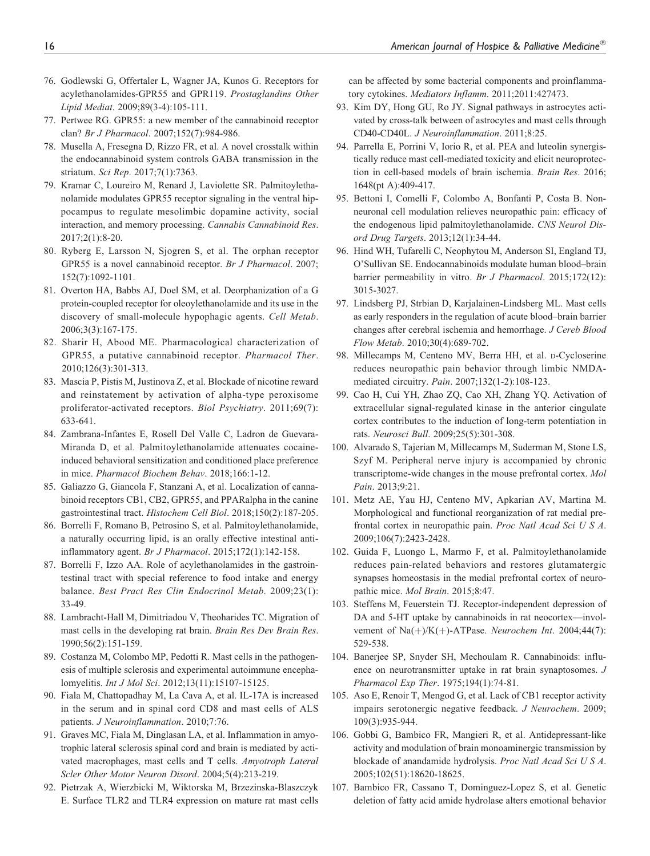- 76. Godlewski G, Offertaler L, Wagner JA, Kunos G. Receptors for acylethanolamides-GPR55 and GPR119. Prostaglandins Other Lipid Mediat. 2009;89(3-4):105-111.
- 77. Pertwee RG. GPR55: a new member of the cannabinoid receptor clan? Br J Pharmacol. 2007;152(7):984-986.
- 78. Musella A, Fresegna D, Rizzo FR, et al. A novel crosstalk within the endocannabinoid system controls GABA transmission in the striatum. Sci Rep. 2017;7(1):7363.
- 79. Kramar C, Loureiro M, Renard J, Laviolette SR. Palmitoylethanolamide modulates GPR55 receptor signaling in the ventral hippocampus to regulate mesolimbic dopamine activity, social interaction, and memory processing. Cannabis Cannabinoid Res. 2017;2(1):8-20.
- 80. Ryberg E, Larsson N, Sjogren S, et al. The orphan receptor GPR55 is a novel cannabinoid receptor. Br J Pharmacol. 2007; 152(7):1092-1101.
- 81. Overton HA, Babbs AJ, Doel SM, et al. Deorphanization of a G protein-coupled receptor for oleoylethanolamide and its use in the discovery of small-molecule hypophagic agents. Cell Metab. 2006;3(3):167-175.
- 82. Sharir H, Abood ME. Pharmacological characterization of GPR55, a putative cannabinoid receptor. Pharmacol Ther. 2010;126(3):301-313.
- 83. Mascia P, Pistis M, Justinova Z, et al. Blockade of nicotine reward and reinstatement by activation of alpha-type peroxisome proliferator-activated receptors. Biol Psychiatry. 2011;69(7): 633-641.
- 84. Zambrana-Infantes E, Rosell Del Valle C, Ladron de Guevara-Miranda D, et al. Palmitoylethanolamide attenuates cocaineinduced behavioral sensitization and conditioned place preference in mice. Pharmacol Biochem Behav. 2018;166:1-12.
- 85. Galiazzo G, Giancola F, Stanzani A, et al. Localization of cannabinoid receptors CB1, CB2, GPR55, and PPARalpha in the canine gastrointestinal tract. Histochem Cell Biol. 2018;150(2):187-205.
- 86. Borrelli F, Romano B, Petrosino S, et al. Palmitoylethanolamide, a naturally occurring lipid, is an orally effective intestinal antiinflammatory agent. Br J Pharmacol. 2015;172(1):142-158.
- 87. Borrelli F, Izzo AA. Role of acylethanolamides in the gastrointestinal tract with special reference to food intake and energy balance. Best Pract Res Clin Endocrinol Metab. 2009;23(1): 33-49.
- 88. Lambracht-Hall M, Dimitriadou V, Theoharides TC. Migration of mast cells in the developing rat brain. Brain Res Dev Brain Res. 1990;56(2):151-159.
- 89. Costanza M, Colombo MP, Pedotti R. Mast cells in the pathogenesis of multiple sclerosis and experimental autoimmune encephalomyelitis. Int J Mol Sci. 2012;13(11):15107-15125.
- 90. Fiala M, Chattopadhay M, La Cava A, et al. IL-17A is increased in the serum and in spinal cord CD8 and mast cells of ALS patients. J Neuroinflammation. 2010;7:76.
- 91. Graves MC, Fiala M, Dinglasan LA, et al. Inflammation in amyotrophic lateral sclerosis spinal cord and brain is mediated by activated macrophages, mast cells and T cells. Amyotroph Lateral Scler Other Motor Neuron Disord. 2004;5(4):213-219.
- 92. Pietrzak A, Wierzbicki M, Wiktorska M, Brzezinska-Blaszczyk E. Surface TLR2 and TLR4 expression on mature rat mast cells

can be affected by some bacterial components and proinflammatory cytokines. Mediators Inflamm. 2011;2011:427473.

- 93. Kim DY, Hong GU, Ro JY. Signal pathways in astrocytes activated by cross-talk between of astrocytes and mast cells through CD40-CD40L. J Neuroinflammation. 2011;8:25.
- 94. Parrella E, Porrini V, Iorio R, et al. PEA and luteolin synergistically reduce mast cell-mediated toxicity and elicit neuroprotection in cell-based models of brain ischemia. Brain Res. 2016; 1648(pt A):409-417.
- 95. Bettoni I, Comelli F, Colombo A, Bonfanti P, Costa B. Nonneuronal cell modulation relieves neuropathic pain: efficacy of the endogenous lipid palmitoylethanolamide. CNS Neurol Disord Drug Targets. 2013;12(1):34-44.
- 96. Hind WH, Tufarelli C, Neophytou M, Anderson SI, England TJ, O'Sullivan SE. Endocannabinoids modulate human blood–brain barrier permeability in vitro. Br J Pharmacol. 2015;172(12): 3015-3027.
- 97. Lindsberg PJ, Strbian D, Karjalainen-Lindsberg ML. Mast cells as early responders in the regulation of acute blood–brain barrier changes after cerebral ischemia and hemorrhage. J Cereb Blood Flow Metab. 2010;30(4):689-702.
- 98. Millecamps M, Centeno MV, Berra HH, et al. D-Cycloserine reduces neuropathic pain behavior through limbic NMDAmediated circuitry. Pain. 2007;132(1-2):108-123.
- 99. Cao H, Cui YH, Zhao ZQ, Cao XH, Zhang YQ. Activation of extracellular signal-regulated kinase in the anterior cingulate cortex contributes to the induction of long-term potentiation in rats. Neurosci Bull. 2009;25(5):301-308.
- 100. Alvarado S, Tajerian M, Millecamps M, Suderman M, Stone LS, Szyf M. Peripheral nerve injury is accompanied by chronic transcriptome-wide changes in the mouse prefrontal cortex. Mol Pain. 2013;9:21.
- 101. Metz AE, Yau HJ, Centeno MV, Apkarian AV, Martina M. Morphological and functional reorganization of rat medial prefrontal cortex in neuropathic pain. Proc Natl Acad Sci U S A. 2009;106(7):2423-2428.
- 102. Guida F, Luongo L, Marmo F, et al. Palmitoylethanolamide reduces pain-related behaviors and restores glutamatergic synapses homeostasis in the medial prefrontal cortex of neuropathic mice. Mol Brain. 2015;8:47.
- 103. Steffens M, Feuerstein TJ. Receptor-independent depression of DA and 5-HT uptake by cannabinoids in rat neocortex—involvement of  $Na(+) / K(+)$ -ATPase. Neurochem Int. 2004;44(7): 529-538.
- 104. Banerjee SP, Snyder SH, Mechoulam R. Cannabinoids: influence on neurotransmitter uptake in rat brain synaptosomes. J Pharmacol Exp Ther. 1975;194(1):74-81.
- 105. Aso E, Renoir T, Mengod G, et al. Lack of CB1 receptor activity impairs serotonergic negative feedback. J Neurochem. 2009; 109(3):935-944.
- 106. Gobbi G, Bambico FR, Mangieri R, et al. Antidepressant-like activity and modulation of brain monoaminergic transmission by blockade of anandamide hydrolysis. Proc Natl Acad Sci U S A. 2005;102(51):18620-18625.
- 107. Bambico FR, Cassano T, Dominguez-Lopez S, et al. Genetic deletion of fatty acid amide hydrolase alters emotional behavior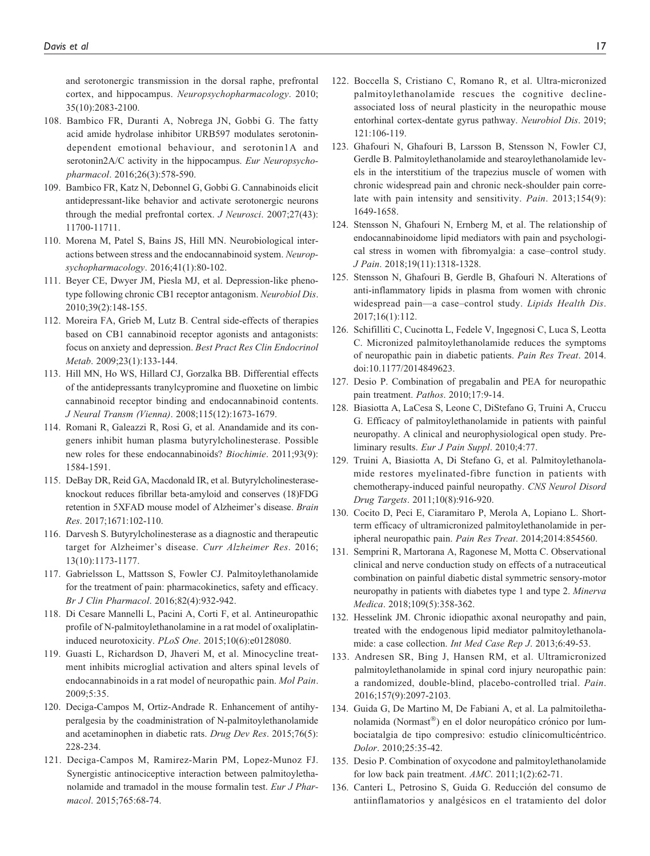and serotonergic transmission in the dorsal raphe, prefrontal cortex, and hippocampus. Neuropsychopharmacology. 2010; 35(10):2083-2100.

- 108. Bambico FR, Duranti A, Nobrega JN, Gobbi G. The fatty acid amide hydrolase inhibitor URB597 modulates serotonindependent emotional behaviour, and serotonin1A and serotonin2A/C activity in the hippocampus. Eur Neuropsychopharmacol. 2016;26(3):578-590.
- 109. Bambico FR, Katz N, Debonnel G, Gobbi G. Cannabinoids elicit antidepressant-like behavior and activate serotonergic neurons through the medial prefrontal cortex. J Neurosci. 2007;27(43): 11700-11711.
- 110. Morena M, Patel S, Bains JS, Hill MN. Neurobiological interactions between stress and the endocannabinoid system. Neuropsychopharmacology. 2016;41(1):80-102.
- 111. Beyer CE, Dwyer JM, Piesla MJ, et al. Depression-like phenotype following chronic CB1 receptor antagonism. Neurobiol Dis. 2010;39(2):148-155.
- 112. Moreira FA, Grieb M, Lutz B. Central side-effects of therapies based on CB1 cannabinoid receptor agonists and antagonists: focus on anxiety and depression. Best Pract Res Clin Endocrinol Metab. 2009;23(1):133-144.
- 113. Hill MN, Ho WS, Hillard CJ, Gorzalka BB. Differential effects of the antidepressants tranylcypromine and fluoxetine on limbic cannabinoid receptor binding and endocannabinoid contents. J Neural Transm (Vienna). 2008;115(12):1673-1679.
- 114. Romani R, Galeazzi R, Rosi G, et al. Anandamide and its congeners inhibit human plasma butyrylcholinesterase. Possible new roles for these endocannabinoids? Biochimie. 2011;93(9): 1584-1591.
- 115. DeBay DR, Reid GA, Macdonald IR, et al. Butyrylcholinesteraseknockout reduces fibrillar beta-amyloid and conserves (18)FDG retention in 5XFAD mouse model of Alzheimer's disease. Brain Res. 2017;1671:102-110.
- 116. Darvesh S. Butyrylcholinesterase as a diagnostic and therapeutic target for Alzheimer's disease. Curr Alzheimer Res. 2016; 13(10):1173-1177.
- 117. Gabrielsson L, Mattsson S, Fowler CJ. Palmitoylethanolamide for the treatment of pain: pharmacokinetics, safety and efficacy. Br J Clin Pharmacol. 2016;82(4):932-942.
- 118. Di Cesare Mannelli L, Pacini A, Corti F, et al. Antineuropathic profile of N-palmitoylethanolamine in a rat model of oxaliplatininduced neurotoxicity. PLoS One. 2015;10(6):e0128080.
- 119. Guasti L, Richardson D, Jhaveri M, et al. Minocycline treatment inhibits microglial activation and alters spinal levels of endocannabinoids in a rat model of neuropathic pain. Mol Pain. 2009;5:35.
- 120. Deciga-Campos M, Ortiz-Andrade R. Enhancement of antihyperalgesia by the coadministration of N-palmitoylethanolamide and acetaminophen in diabetic rats. Drug Dev Res. 2015;76(5): 228-234.
- 121. Deciga-Campos M, Ramirez-Marin PM, Lopez-Munoz FJ. Synergistic antinociceptive interaction between palmitoylethanolamide and tramadol in the mouse formalin test. Eur J Pharmacol. 2015;765:68-74.
- 122. Boccella S, Cristiano C, Romano R, et al. Ultra-micronized palmitoylethanolamide rescues the cognitive declineassociated loss of neural plasticity in the neuropathic mouse entorhinal cortex-dentate gyrus pathway. Neurobiol Dis. 2019; 121:106-119.
- 123. Ghafouri N, Ghafouri B, Larsson B, Stensson N, Fowler CJ, Gerdle B. Palmitoylethanolamide and stearoylethanolamide levels in the interstitium of the trapezius muscle of women with chronic widespread pain and chronic neck-shoulder pain correlate with pain intensity and sensitivity. Pain. 2013;154(9): 1649-1658.
- 124. Stensson N, Ghafouri N, Ernberg M, et al. The relationship of endocannabinoidome lipid mediators with pain and psychological stress in women with fibromyalgia: a case–control study. J Pain. 2018;19(11):1318-1328.
- 125. Stensson N, Ghafouri B, Gerdle B, Ghafouri N. Alterations of anti-inflammatory lipids in plasma from women with chronic widespread pain—a case–control study. Lipids Health Dis. 2017;16(1):112.
- 126. Schifilliti C, Cucinotta L, Fedele V, Ingegnosi C, Luca S, Leotta C. Micronized palmitoylethanolamide reduces the symptoms of neuropathic pain in diabetic patients. Pain Res Treat. 2014. doi:10.1177/2014849623.
- 127. Desio P. Combination of pregabalin and PEA for neuropathic pain treatment. Pathos. 2010;17:9-14.
- 128. Biasiotta A, LaCesa S, Leone C, DiStefano G, Truini A, Cruccu G. Efficacy of palmitoylethanolamide in patients with painful neuropathy. A clinical and neurophysiological open study. Preliminary results. Eur J Pain Suppl. 2010;4:77.
- 129. Truini A, Biasiotta A, Di Stefano G, et al. Palmitoylethanolamide restores myelinated-fibre function in patients with chemotherapy-induced painful neuropathy. CNS Neurol Disord Drug Targets. 2011;10(8):916-920.
- 130. Cocito D, Peci E, Ciaramitaro P, Merola A, Lopiano L. Shortterm efficacy of ultramicronized palmitoylethanolamide in peripheral neuropathic pain. Pain Res Treat. 2014;2014:854560.
- 131. Semprini R, Martorana A, Ragonese M, Motta C. Observational clinical and nerve conduction study on effects of a nutraceutical combination on painful diabetic distal symmetric sensory-motor neuropathy in patients with diabetes type 1 and type 2. Minerva Medica. 2018;109(5):358-362.
- 132. Hesselink JM. Chronic idiopathic axonal neuropathy and pain, treated with the endogenous lipid mediator palmitoylethanolamide: a case collection. Int Med Case Rep J. 2013;6:49-53.
- 133. Andresen SR, Bing J, Hansen RM, et al. Ultramicronized palmitoylethanolamide in spinal cord injury neuropathic pain: a randomized, double-blind, placebo-controlled trial. Pain. 2016;157(9):2097-2103.
- 134. Guida G, De Martino M, De Fabiani A, et al. La palmitoilethanolamida (Normast<sup>®</sup>) en el dolor neuropático crónico por lumbociatalgia de tipo compresivo: estudio clínicomulticéntrico. Dolor. 2010;25:35-42.
- 135. Desio P. Combination of oxycodone and palmitoylethanolamide for low back pain treatment. AMC. 2011;1(2):62-71.
- 136. Canteri L, Petrosino S, Guida G. Reducción del consumo de antiinflamatorios y analgésicos en el tratamiento del dolor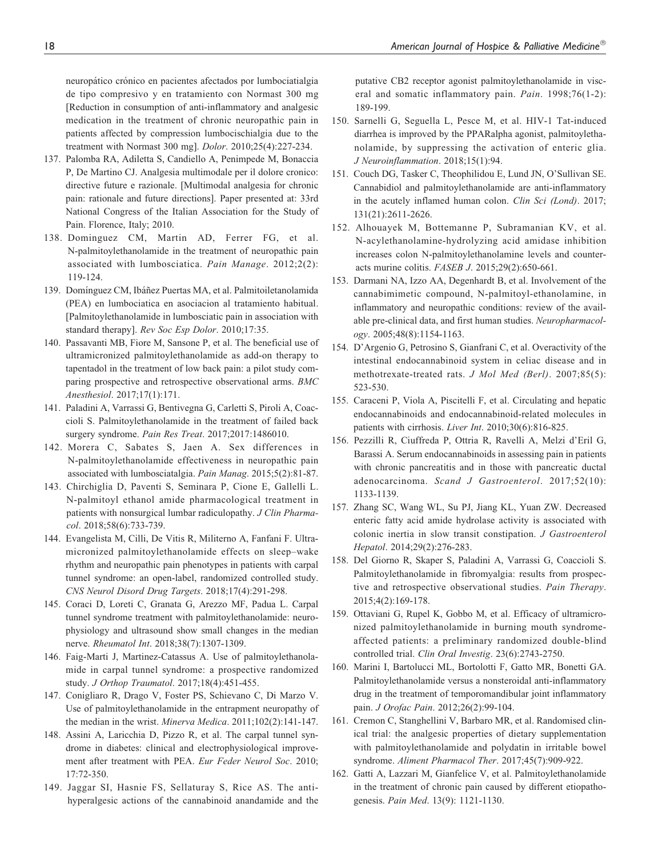neuropático crónico en pacientes afectados por lumbociatialgia de tipo compresivo y en tratamiento con Normast 300 mg [Reduction in consumption of anti-inflammatory and analgesic medication in the treatment of chronic neuropathic pain in patients affected by compression lumbocischialgia due to the treatment with Normast 300 mg]. Dolor. 2010;25(4):227-234.

- 137. Palomba RA, Adiletta S, Candiello A, Penimpede M, Bonaccia P, De Martino CJ. Analgesia multimodale per il dolore cronico: directive future e razionale. [Multimodal analgesia for chronic pain: rationale and future directions]. Paper presented at: 33rd National Congress of the Italian Association for the Study of Pain. Florence, Italy; 2010.
- 138. Dominguez CM, Martin AD, Ferrer FG, et al. N-palmitoylethanolamide in the treatment of neuropathic pain associated with lumbosciatica. Pain Manage. 2012;2(2): 119-124.
- 139. Domínguez CM, Ibáñez Puertas MA, et al. Palmitoiletanolamida (PEA) en lumbociatica en asociacion al tratamiento habitual. [Palmitoylethanolamide in lumbosciatic pain in association with standard therapy]. Rev Soc Esp Dolor. 2010;17:35.
- 140. Passavanti MB, Fiore M, Sansone P, et al. The beneficial use of ultramicronized palmitoylethanolamide as add-on therapy to tapentadol in the treatment of low back pain: a pilot study comparing prospective and retrospective observational arms. BMC Anesthesiol. 2017;17(1):171.
- 141. Paladini A, Varrassi G, Bentivegna G, Carletti S, Piroli A, Coaccioli S. Palmitoylethanolamide in the treatment of failed back surgery syndrome. Pain Res Treat. 2017;2017:1486010.
- 142. Morera C, Sabates S, Jaen A. Sex differences in N-palmitoylethanolamide effectiveness in neuropathic pain associated with lumbosciatalgia. Pain Manag. 2015;5(2):81-87.
- 143. Chirchiglia D, Paventi S, Seminara P, Cione E, Gallelli L. N-palmitoyl ethanol amide pharmacological treatment in patients with nonsurgical lumbar radiculopathy. J Clin Pharmacol. 2018;58(6):733-739.
- 144. Evangelista M, Cilli, De Vitis R, Militerno A, Fanfani F. Ultramicronized palmitoylethanolamide effects on sleep–wake rhythm and neuropathic pain phenotypes in patients with carpal tunnel syndrome: an open-label, randomized controlled study. CNS Neurol Disord Drug Targets. 2018;17(4):291-298.
- 145. Coraci D, Loreti C, Granata G, Arezzo MF, Padua L. Carpal tunnel syndrome treatment with palmitoylethanolamide: neurophysiology and ultrasound show small changes in the median nerve. Rheumatol Int. 2018;38(7):1307-1309.
- 146. Faig-Marti J, Martinez-Catassus A. Use of palmitoylethanolamide in carpal tunnel syndrome: a prospective randomized study. J Orthop Traumatol. 2017;18(4):451-455.
- 147. Conigliaro R, Drago V, Foster PS, Schievano C, Di Marzo V. Use of palmitoylethanolamide in the entrapment neuropathy of the median in the wrist. Minerva Medica. 2011;102(2):141-147.
- 148. Assini A, Laricchia D, Pizzo R, et al. The carpal tunnel syndrome in diabetes: clinical and electrophysiological improvement after treatment with PEA. Eur Feder Neurol Soc. 2010; 17:72-350.
- 149. Jaggar SI, Hasnie FS, Sellaturay S, Rice AS. The antihyperalgesic actions of the cannabinoid anandamide and the

putative CB2 receptor agonist palmitoylethanolamide in visceral and somatic inflammatory pain. Pain. 1998;76(1-2): 189-199.

- 150. Sarnelli G, Seguella L, Pesce M, et al. HIV-1 Tat-induced diarrhea is improved by the PPARalpha agonist, palmitoylethanolamide, by suppressing the activation of enteric glia. J Neuroinflammation. 2018;15(1):94.
- 151. Couch DG, Tasker C, Theophilidou E, Lund JN, O'Sullivan SE. Cannabidiol and palmitoylethanolamide are anti-inflammatory in the acutely inflamed human colon. Clin Sci (Lond). 2017; 131(21):2611-2626.
- 152. Alhouayek M, Bottemanne P, Subramanian KV, et al. N-acylethanolamine-hydrolyzing acid amidase inhibition increases colon N-palmitoylethanolamine levels and counteracts murine colitis. FASEB J. 2015;29(2):650-661.
- 153. Darmani NA, Izzo AA, Degenhardt B, et al. Involvement of the cannabimimetic compound, N-palmitoyl-ethanolamine, in inflammatory and neuropathic conditions: review of the available pre-clinical data, and first human studies. Neuropharmacology. 2005;48(8):1154-1163.
- 154. D'Argenio G, Petrosino S, Gianfrani C, et al. Overactivity of the intestinal endocannabinoid system in celiac disease and in methotrexate-treated rats. J Mol Med (Berl). 2007;85(5): 523-530.
- 155. Caraceni P, Viola A, Piscitelli F, et al. Circulating and hepatic endocannabinoids and endocannabinoid-related molecules in patients with cirrhosis. Liver Int. 2010;30(6):816-825.
- 156. Pezzilli R, Ciuffreda P, Ottria R, Ravelli A, Melzi d'Eril G, Barassi A. Serum endocannabinoids in assessing pain in patients with chronic pancreatitis and in those with pancreatic ductal adenocarcinoma. Scand J Gastroenterol. 2017;52(10): 1133-1139.
- 157. Zhang SC, Wang WL, Su PJ, Jiang KL, Yuan ZW. Decreased enteric fatty acid amide hydrolase activity is associated with colonic inertia in slow transit constipation. J Gastroenterol Hepatol. 2014;29(2):276-283.
- 158. Del Giorno R, Skaper S, Paladini A, Varrassi G, Coaccioli S. Palmitoylethanolamide in fibromyalgia: results from prospective and retrospective observational studies. Pain Therapy. 2015;4(2):169-178.
- 159. Ottaviani G, Rupel K, Gobbo M, et al. Efficacy of ultramicronized palmitoylethanolamide in burning mouth syndromeaffected patients: a preliminary randomized double-blind controlled trial. Clin Oral Investig. 23(6):2743-2750.
- 160. Marini I, Bartolucci ML, Bortolotti F, Gatto MR, Bonetti GA. Palmitoylethanolamide versus a nonsteroidal anti-inflammatory drug in the treatment of temporomandibular joint inflammatory pain. J Orofac Pain. 2012;26(2):99-104.
- 161. Cremon C, Stanghellini V, Barbaro MR, et al. Randomised clinical trial: the analgesic properties of dietary supplementation with palmitoylethanolamide and polydatin in irritable bowel syndrome. Aliment Pharmacol Ther. 2017;45(7):909-922.
- 162. Gatti A, Lazzari M, Gianfelice V, et al. Palmitoylethanolamide in the treatment of chronic pain caused by different etiopathogenesis. Pain Med. 13(9): 1121-1130.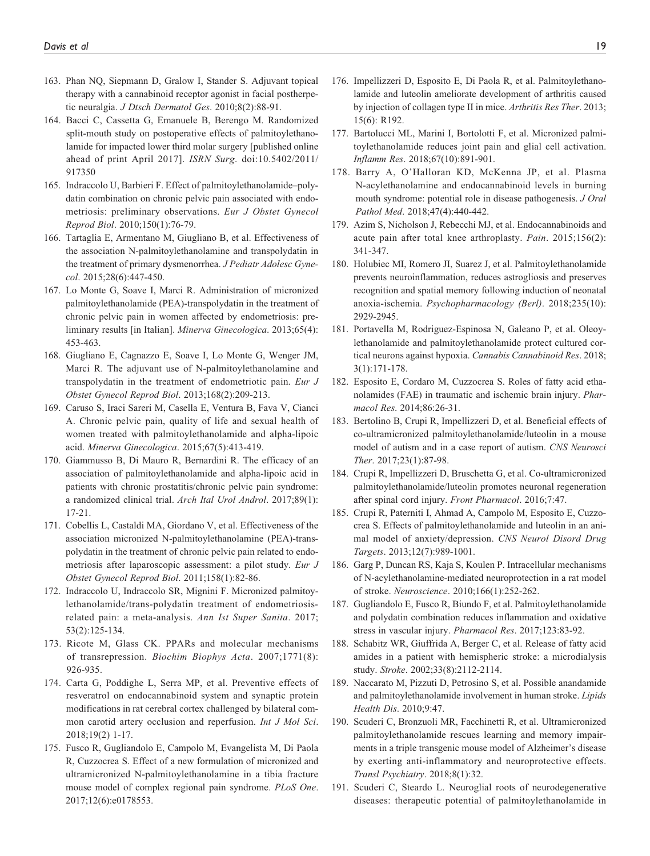- 163. Phan NQ, Siepmann D, Gralow I, Stander S. Adjuvant topical therapy with a cannabinoid receptor agonist in facial postherpetic neuralgia. J Dtsch Dermatol Ges. 2010;8(2):88-91.
- 164. Bacci C, Cassetta G, Emanuele B, Berengo M. Randomized split-mouth study on postoperative effects of palmitoylethanolamide for impacted lower third molar surgery [published online ahead of print April 2017]. ISRN Surg. doi:10.5402/2011/ 917350
- 165. Indraccolo U, Barbieri F. Effect of palmitoylethanolamide–polydatin combination on chronic pelvic pain associated with endometriosis: preliminary observations. Eur J Obstet Gynecol Reprod Biol. 2010;150(1):76-79.
- 166. Tartaglia E, Armentano M, Giugliano B, et al. Effectiveness of the association N-palmitoylethanolamine and transpolydatin in the treatment of primary dysmenorrhea. J Pediatr Adolesc Gynecol. 2015;28(6):447-450.
- 167. Lo Monte G, Soave I, Marci R. Administration of micronized palmitoylethanolamide (PEA)-transpolydatin in the treatment of chronic pelvic pain in women affected by endometriosis: preliminary results [in Italian]. Minerva Ginecologica. 2013;65(4): 453-463.
- 168. Giugliano E, Cagnazzo E, Soave I, Lo Monte G, Wenger JM, Marci R. The adjuvant use of N-palmitoylethanolamine and transpolydatin in the treatment of endometriotic pain. Eur J Obstet Gynecol Reprod Biol. 2013;168(2):209-213.
- 169. Caruso S, Iraci Sareri M, Casella E, Ventura B, Fava V, Cianci A. Chronic pelvic pain, quality of life and sexual health of women treated with palmitoylethanolamide and alpha-lipoic acid. Minerva Ginecologica. 2015;67(5):413-419.
- 170. Giammusso B, Di Mauro R, Bernardini R. The efficacy of an association of palmitoylethanolamide and alpha-lipoic acid in patients with chronic prostatitis/chronic pelvic pain syndrome: a randomized clinical trial. Arch Ital Urol Androl. 2017;89(1): 17-21.
- 171. Cobellis L, Castaldi MA, Giordano V, et al. Effectiveness of the association micronized N-palmitoylethanolamine (PEA)-transpolydatin in the treatment of chronic pelvic pain related to endometriosis after laparoscopic assessment: a pilot study. Eur J Obstet Gynecol Reprod Biol. 2011;158(1):82-86.
- 172. Indraccolo U, Indraccolo SR, Mignini F. Micronized palmitoylethanolamide/trans-polydatin treatment of endometriosisrelated pain: a meta-analysis. Ann Ist Super Sanita. 2017; 53(2):125-134.
- 173. Ricote M, Glass CK. PPARs and molecular mechanisms of transrepression. Biochim Biophys Acta. 2007;1771(8): 926-935.
- 174. Carta G, Poddighe L, Serra MP, et al. Preventive effects of resveratrol on endocannabinoid system and synaptic protein modifications in rat cerebral cortex challenged by bilateral common carotid artery occlusion and reperfusion. Int J Mol Sci. 2018;19(2) 1-17.
- 175. Fusco R, Gugliandolo E, Campolo M, Evangelista M, Di Paola R, Cuzzocrea S. Effect of a new formulation of micronized and ultramicronized N-palmitoylethanolamine in a tibia fracture mouse model of complex regional pain syndrome. PLoS One. 2017;12(6):e0178553.
- 176. Impellizzeri D, Esposito E, Di Paola R, et al. Palmitoylethanolamide and luteolin ameliorate development of arthritis caused by injection of collagen type II in mice. Arthritis Res Ther. 2013; 15(6): R192.
- 177. Bartolucci ML, Marini I, Bortolotti F, et al. Micronized palmitoylethanolamide reduces joint pain and glial cell activation. Inflamm Res. 2018;67(10):891-901.
- 178. Barry A, O'Halloran KD, McKenna JP, et al. Plasma N-acylethanolamine and endocannabinoid levels in burning mouth syndrome: potential role in disease pathogenesis. J Oral Pathol Med. 2018;47(4):440-442.
- 179. Azim S, Nicholson J, Rebecchi MJ, et al. Endocannabinoids and acute pain after total knee arthroplasty. Pain. 2015;156(2): 341-347.
- 180. Holubiec MI, Romero JI, Suarez J, et al. Palmitoylethanolamide prevents neuroinflammation, reduces astrogliosis and preserves recognition and spatial memory following induction of neonatal anoxia-ischemia. Psychopharmacology (Berl). 2018;235(10): 2929-2945.
- 181. Portavella M, Rodriguez-Espinosa N, Galeano P, et al. Oleoylethanolamide and palmitoylethanolamide protect cultured cortical neurons against hypoxia. Cannabis Cannabinoid Res. 2018; 3(1):171-178.
- 182. Esposito E, Cordaro M, Cuzzocrea S. Roles of fatty acid ethanolamides (FAE) in traumatic and ischemic brain injury. Pharmacol Res. 2014;86:26-31.
- 183. Bertolino B, Crupi R, Impellizzeri D, et al. Beneficial effects of co-ultramicronized palmitoylethanolamide/luteolin in a mouse model of autism and in a case report of autism. CNS Neurosci Ther. 2017;23(1):87-98.
- 184. Crupi R, Impellizzeri D, Bruschetta G, et al. Co-ultramicronized palmitoylethanolamide/luteolin promotes neuronal regeneration after spinal cord injury. Front Pharmacol. 2016;7:47.
- 185. Crupi R, Paterniti I, Ahmad A, Campolo M, Esposito E, Cuzzocrea S. Effects of palmitoylethanolamide and luteolin in an animal model of anxiety/depression. CNS Neurol Disord Drug Targets. 2013;12(7):989-1001.
- 186. Garg P, Duncan RS, Kaja S, Koulen P. Intracellular mechanisms of N-acylethanolamine-mediated neuroprotection in a rat model of stroke. Neuroscience. 2010;166(1):252-262.
- 187. Gugliandolo E, Fusco R, Biundo F, et al. Palmitoylethanolamide and polydatin combination reduces inflammation and oxidative stress in vascular injury. Pharmacol Res. 2017;123:83-92.
- 188. Schabitz WR, Giuffrida A, Berger C, et al. Release of fatty acid amides in a patient with hemispheric stroke: a microdialysis study. Stroke. 2002;33(8):2112-2114.
- 189. Naccarato M, Pizzuti D, Petrosino S, et al. Possible anandamide and palmitoylethanolamide involvement in human stroke. Lipids Health Dis. 2010;9:47.
- 190. Scuderi C, Bronzuoli MR, Facchinetti R, et al. Ultramicronized palmitoylethanolamide rescues learning and memory impairments in a triple transgenic mouse model of Alzheimer's disease by exerting anti-inflammatory and neuroprotective effects. Transl Psychiatry. 2018;8(1):32.
- 191. Scuderi C, Steardo L. Neuroglial roots of neurodegenerative diseases: therapeutic potential of palmitoylethanolamide in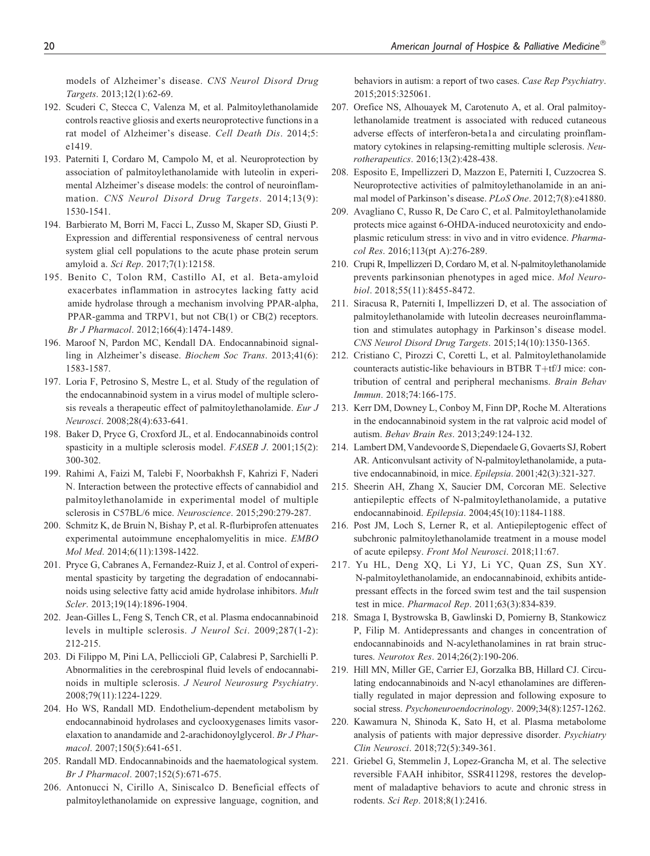models of Alzheimer's disease. CNS Neurol Disord Drug Targets. 2013;12(1):62-69.

- 192. Scuderi C, Stecca C, Valenza M, et al. Palmitoylethanolamide controls reactive gliosis and exerts neuroprotective functions in a rat model of Alzheimer's disease. Cell Death Dis. 2014;5: e1419.
- 193. Paterniti I, Cordaro M, Campolo M, et al. Neuroprotection by association of palmitoylethanolamide with luteolin in experimental Alzheimer's disease models: the control of neuroinflammation. CNS Neurol Disord Drug Targets. 2014;13(9): 1530-1541.
- 194. Barbierato M, Borri M, Facci L, Zusso M, Skaper SD, Giusti P. Expression and differential responsiveness of central nervous system glial cell populations to the acute phase protein serum amyloid a. Sci Rep. 2017;7(1):12158.
- 195. Benito C, Tolon RM, Castillo AI, et al. Beta-amyloid exacerbates inflammation in astrocytes lacking fatty acid amide hydrolase through a mechanism involving PPAR-alpha, PPAR-gamma and TRPV1, but not CB(1) or CB(2) receptors. Br J Pharmacol. 2012;166(4):1474-1489.
- 196. Maroof N, Pardon MC, Kendall DA. Endocannabinoid signalling in Alzheimer's disease. Biochem Soc Trans. 2013;41(6): 1583-1587.
- 197. Loria F, Petrosino S, Mestre L, et al. Study of the regulation of the endocannabinoid system in a virus model of multiple sclerosis reveals a therapeutic effect of palmitoylethanolamide. Eur J Neurosci. 2008;28(4):633-641.
- 198. Baker D, Pryce G, Croxford JL, et al. Endocannabinoids control spasticity in a multiple sclerosis model. FASEB J. 2001;15(2): 300-302.
- 199. Rahimi A, Faizi M, Talebi F, Noorbakhsh F, Kahrizi F, Naderi N. Interaction between the protective effects of cannabidiol and palmitoylethanolamide in experimental model of multiple sclerosis in C57BL/6 mice. Neuroscience. 2015;290:279-287.
- 200. Schmitz K, de Bruin N, Bishay P, et al. R-flurbiprofen attenuates experimental autoimmune encephalomyelitis in mice. EMBO Mol Med. 2014;6(11):1398-1422.
- 201. Pryce G, Cabranes A, Fernandez-Ruiz J, et al. Control of experimental spasticity by targeting the degradation of endocannabinoids using selective fatty acid amide hydrolase inhibitors. Mult Scler. 2013;19(14):1896-1904.
- 202. Jean-Gilles L, Feng S, Tench CR, et al. Plasma endocannabinoid levels in multiple sclerosis. J Neurol Sci. 2009;287(1-2): 212-215.
- 203. Di Filippo M, Pini LA, Pelliccioli GP, Calabresi P, Sarchielli P. Abnormalities in the cerebrospinal fluid levels of endocannabinoids in multiple sclerosis. J Neurol Neurosurg Psychiatry. 2008;79(11):1224-1229.
- 204. Ho WS, Randall MD. Endothelium-dependent metabolism by endocannabinoid hydrolases and cyclooxygenases limits vasorelaxation to anandamide and 2-arachidonoylglycerol. Br J Pharmacol. 2007;150(5):641-651.
- 205. Randall MD. Endocannabinoids and the haematological system. Br J Pharmacol. 2007;152(5):671-675.
- 206. Antonucci N, Cirillo A, Siniscalco D. Beneficial effects of palmitoylethanolamide on expressive language, cognition, and

behaviors in autism: a report of two cases. Case Rep Psychiatry. 2015;2015:325061.

- 207. Orefice NS, Alhouayek M, Carotenuto A, et al. Oral palmitoylethanolamide treatment is associated with reduced cutaneous adverse effects of interferon-beta1a and circulating proinflammatory cytokines in relapsing-remitting multiple sclerosis. Neurotherapeutics. 2016;13(2):428-438.
- 208. Esposito E, Impellizzeri D, Mazzon E, Paterniti I, Cuzzocrea S. Neuroprotective activities of palmitoylethanolamide in an animal model of Parkinson's disease. PLoS One. 2012;7(8):e41880.
- 209. Avagliano C, Russo R, De Caro C, et al. Palmitoylethanolamide protects mice against 6-OHDA-induced neurotoxicity and endoplasmic reticulum stress: in vivo and in vitro evidence. Pharmacol Res. 2016;113(pt A):276-289.
- 210. Crupi R, Impellizzeri D, Cordaro M, et al. N-palmitoylethanolamide prevents parkinsonian phenotypes in aged mice. Mol Neurobiol. 2018;55(11):8455-8472.
- 211. Siracusa R, Paterniti I, Impellizzeri D, et al. The association of palmitoylethanolamide with luteolin decreases neuroinflammation and stimulates autophagy in Parkinson's disease model. CNS Neurol Disord Drug Targets. 2015;14(10):1350-1365.
- 212. Cristiano C, Pirozzi C, Coretti L, et al. Palmitoylethanolamide counteracts autistic-like behaviours in BTBR T+tf/J mice: contribution of central and peripheral mechanisms. Brain Behav Immun. 2018;74:166-175.
- 213. Kerr DM, Downey L, Conboy M, Finn DP, Roche M. Alterations in the endocannabinoid system in the rat valproic acid model of autism. Behav Brain Res. 2013;249:124-132.
- 214. Lambert DM, Vandevoorde S, Diependaele G, Govaerts SJ, Robert AR. Anticonvulsant activity of N-palmitoylethanolamide, a putative endocannabinoid, in mice. Epilepsia. 2001;42(3):321-327.
- 215. Sheerin AH, Zhang X, Saucier DM, Corcoran ME. Selective antiepileptic effects of N-palmitoylethanolamide, a putative endocannabinoid. Epilepsia. 2004;45(10):1184-1188.
- 216. Post JM, Loch S, Lerner R, et al. Antiepileptogenic effect of subchronic palmitoylethanolamide treatment in a mouse model of acute epilepsy. Front Mol Neurosci. 2018;11:67.
- 217. Yu HL, Deng XQ, Li YJ, Li YC, Quan ZS, Sun XY. N-palmitoylethanolamide, an endocannabinoid, exhibits antidepressant effects in the forced swim test and the tail suspension test in mice. Pharmacol Rep. 2011;63(3):834-839.
- 218. Smaga I, Bystrowska B, Gawlinski D, Pomierny B, Stankowicz P, Filip M. Antidepressants and changes in concentration of endocannabinoids and N-acylethanolamines in rat brain structures. Neurotox Res. 2014;26(2):190-206.
- 219. Hill MN, Miller GE, Carrier EJ, Gorzalka BB, Hillard CJ. Circulating endocannabinoids and N-acyl ethanolamines are differentially regulated in major depression and following exposure to social stress. Psychoneuroendocrinology. 2009;34(8):1257-1262.
- 220. Kawamura N, Shinoda K, Sato H, et al. Plasma metabolome analysis of patients with major depressive disorder. Psychiatry Clin Neurosci. 2018;72(5):349-361.
- 221. Griebel G, Stemmelin J, Lopez-Grancha M, et al. The selective reversible FAAH inhibitor, SSR411298, restores the development of maladaptive behaviors to acute and chronic stress in rodents. Sci Rep. 2018;8(1):2416.